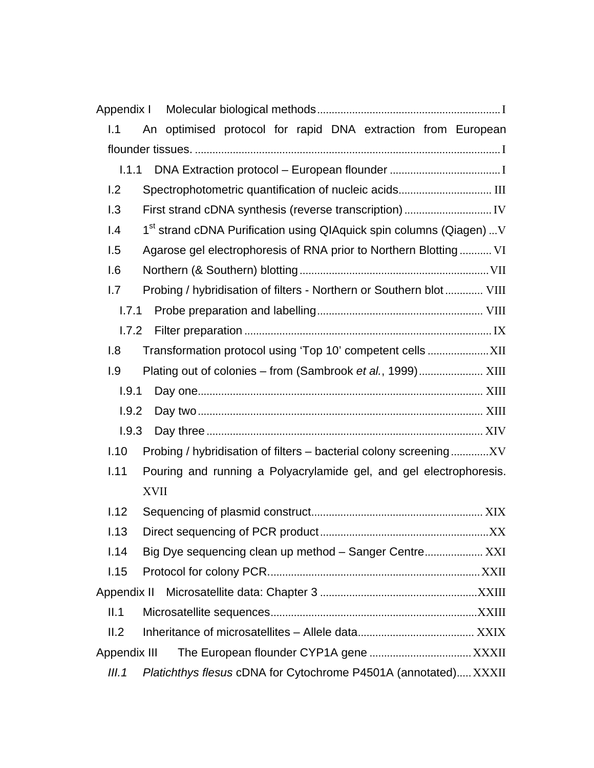| Appendix I       |                                                                                  |  |
|------------------|----------------------------------------------------------------------------------|--|
| 1.1              | An optimised protocol for rapid DNA extraction from European                     |  |
|                  |                                                                                  |  |
| 1.1.1            |                                                                                  |  |
| 1.2              |                                                                                  |  |
| 1.3              |                                                                                  |  |
| $\overline{1.4}$ | 1 <sup>st</sup> strand cDNA Purification using QIAquick spin columns (Qiagen)  V |  |
| 1.5              | Agarose gel electrophoresis of RNA prior to Northern Blotting VI                 |  |
| 1.6              |                                                                                  |  |
| 1.7              | Probing / hybridisation of filters - Northern or Southern blot  VIII             |  |
| 1.7.1            |                                                                                  |  |
| 1.7.2            |                                                                                  |  |
| 1.8              |                                                                                  |  |
| 1.9              |                                                                                  |  |
| 1.9.1            |                                                                                  |  |
| 1.9.2            |                                                                                  |  |
| 1.9.3            |                                                                                  |  |
| 1.10             | Probing / hybridisation of filters - bacterial colony screeningXV                |  |
| 1.11             | Pouring and running a Polyacrylamide gel, and gel electrophoresis.               |  |
|                  | <b>XVII</b>                                                                      |  |
| 1.12             |                                                                                  |  |
| 1.13             |                                                                                  |  |
| 1.14             | Big Dye sequencing clean up method - Sanger Centre XXI                           |  |
| 1.15             |                                                                                  |  |
| Appendix II      |                                                                                  |  |
| II.1             |                                                                                  |  |
| II.2             |                                                                                  |  |
| Appendix III     |                                                                                  |  |
| III.1            | Platichthys flesus cDNA for Cytochrome P4501A (annotated) XXXII                  |  |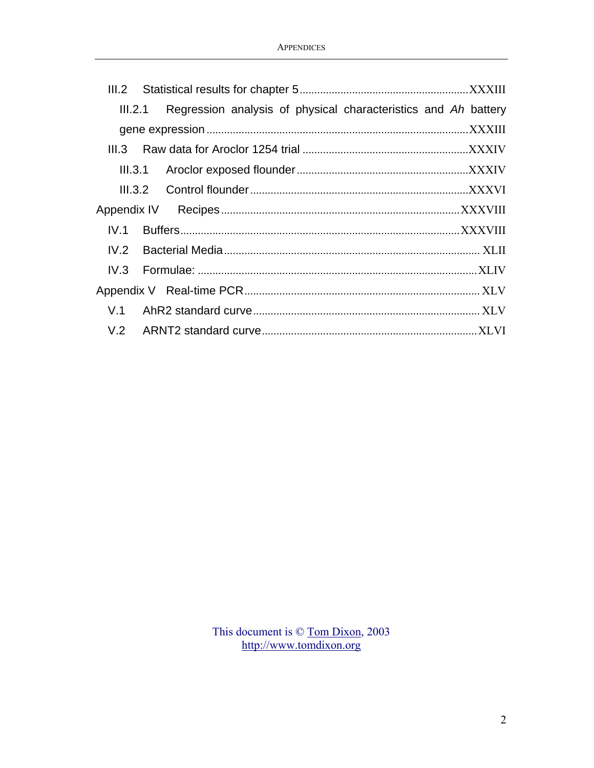| III.2   |         |                                                                |  |
|---------|---------|----------------------------------------------------------------|--|
| III.2.1 |         | Regression analysis of physical characteristics and Ah battery |  |
|         |         |                                                                |  |
| III.3   |         |                                                                |  |
|         | III.3.1 |                                                                |  |
| III.3.2 |         |                                                                |  |
|         |         |                                                                |  |
| IV.1    |         |                                                                |  |
| IV.2    |         |                                                                |  |
| IV.3    |         |                                                                |  |
|         |         |                                                                |  |
| V.1     |         |                                                                |  |
|         |         |                                                                |  |

This document is  $\circ$  [Tom Dixon](mailto:tom@tomdixon.org), 2003 [http://www.tomdixon.org](http://www.tomdixon.org/)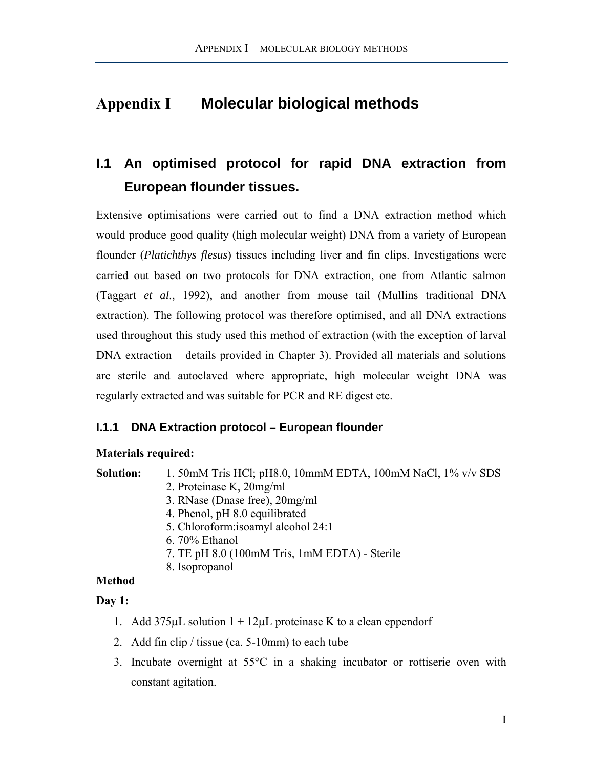# <span id="page-2-0"></span>**Appendix I Molecular biological methods**

# **I.1 An optimised protocol for rapid DNA extraction from European flounder tissues.**

Extensive optimisations were carried out to find a DNA extraction method which would produce good quality (high molecular weight) DNA from a variety of European flounder (*Platichthys flesus*) tissues including liver and fin clips. Investigations were carried out based on two protocols for DNA extraction, one from Atlantic salmon (Taggart *et al*., 1992), and another from mouse tail (Mullins traditional DNA extraction). The following protocol was therefore optimised, and all DNA extractions used throughout this study used this method of extraction (with the exception of larval DNA extraction – details provided in Chapter 3). Provided all materials and solutions are sterile and autoclaved where appropriate, high molecular weight DNA was regularly extracted and was suitable for PCR and RE digest etc.

# **I.1.1 DNA Extraction protocol – European flounder**

### **Materials required:**

**Solution:** 1. 50mM Tris HCl; pH8.0, 10mmM EDTA, 100mM NaCl, 1% v/v SDS

- 2. Proteinase K, 20mg/ml
- 3. RNase (Dnase free), 20mg/ml
- 4. Phenol, pH 8.0 equilibrated
- 5. Chloroform:isoamyl alcohol 24:1
- 6. 70% Ethanol
- 7. TE pH 8.0 (100mM Tris, 1mM EDTA) Sterile
- 8. Isopropanol

# **Method**

### **Day 1:**

- 1. Add  $375\mu$ L solution  $1 + 12\mu$ L proteinase K to a clean eppendorf
- 2. Add fin clip / tissue (ca. 5-10mm) to each tube
- 3. Incubate overnight at 55°C in a shaking incubator or rottiserie oven with constant agitation.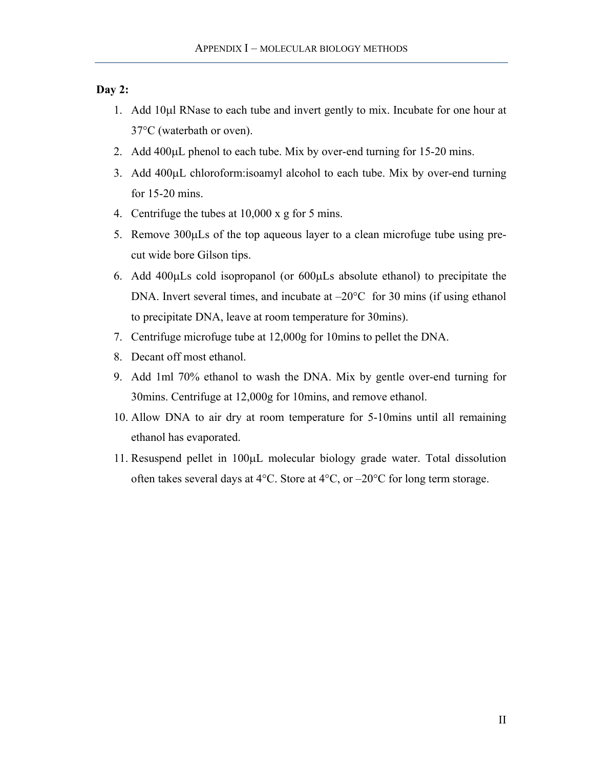#### **Day 2:**

- 1. Add 10µl RNase to each tube and invert gently to mix. Incubate for one hour at 37°C (waterbath or oven).
- 2. Add 400µL phenol to each tube. Mix by over-end turning for 15-20 mins.
- 3. Add 400µL chloroform:isoamyl alcohol to each tube. Mix by over-end turning for 15-20 mins.
- 4. Centrifuge the tubes at 10,000 x g for 5 mins.
- 5. Remove 300µLs of the top aqueous layer to a clean microfuge tube using precut wide bore Gilson tips.
- 6. Add 400µLs cold isopropanol (or 600µLs absolute ethanol) to precipitate the DNA. Invert several times, and incubate at  $-20^{\circ}$ C for 30 mins (if using ethanol to precipitate DNA, leave at room temperature for 30mins).
- 7. Centrifuge microfuge tube at 12,000g for 10mins to pellet the DNA.
- 8. Decant off most ethanol.
- 9. Add 1ml 70% ethanol to wash the DNA. Mix by gentle over-end turning for 30mins. Centrifuge at 12,000g for 10mins, and remove ethanol.
- 10. Allow DNA to air dry at room temperature for 5-10mins until all remaining ethanol has evaporated.
- 11. Resuspend pellet in 100µL molecular biology grade water. Total dissolution often takes several days at 4°C. Store at 4°C, or –20°C for long term storage.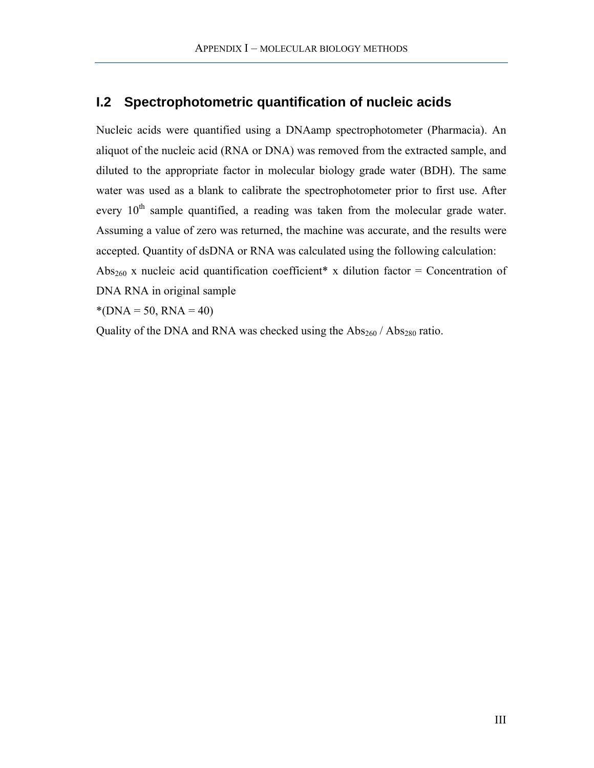# <span id="page-4-0"></span>**I.2 Spectrophotometric quantification of nucleic acids**

Nucleic acids were quantified using a DNAamp spectrophotometer (Pharmacia). An aliquot of the nucleic acid (RNA or DNA) was removed from the extracted sample, and diluted to the appropriate factor in molecular biology grade water (BDH). The same water was used as a blank to calibrate the spectrophotometer prior to first use. After every 10<sup>th</sup> sample quantified, a reading was taken from the molecular grade water. Assuming a value of zero was returned, the machine was accurate, and the results were accepted. Quantity of dsDNA or RNA was calculated using the following calculation: Abs<sub>260</sub> x nucleic acid quantification coefficient\* x dilution factor = Concentration of DNA RNA in original sample

 $*(DNA = 50, RNA = 40)$ 

Quality of the DNA and RNA was checked using the  $\text{Abs}_{260}$  /  $\text{Abs}_{280}$  ratio.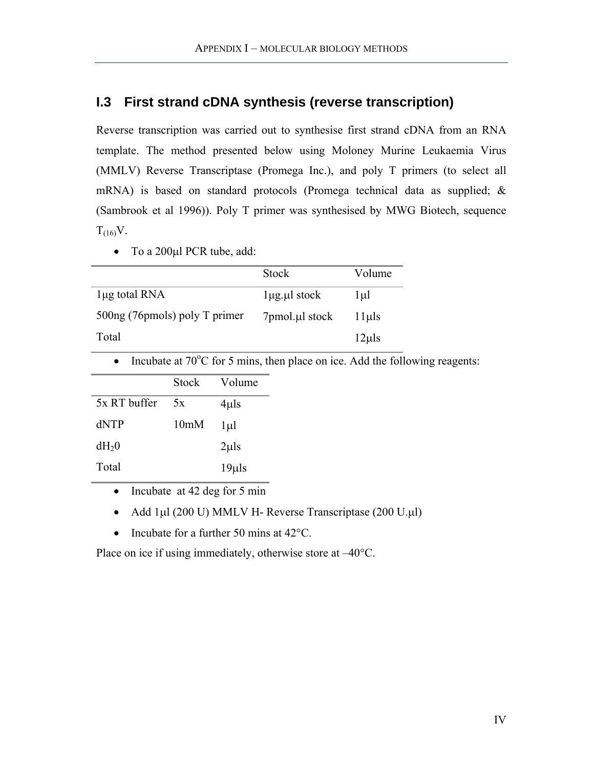# <span id="page-5-0"></span>**I.3 First strand cDNA synthesis (reverse transcription)**

Reverse transcription was carried out to synthesise first strand cDNA from an RNA template. The method presented below using Moloney Murine Leukaemia Virus (MMLV) Reverse Transcriptase (Promega Inc.), and poly T primers (to select all mRNA) is based on standard protocols (Promega technical data as supplied; & (Sambrook et al 1996)). Poly T primer was synthesised by MWG Biotech, sequence  $T_{(16)}V$ .

• To a 200µl PCR tube, add:

|                               | <b>Stock</b>            | Volume     |
|-------------------------------|-------------------------|------------|
| lug total RNA                 | $1\mu$ g. $\mu$ l stock | l µl       |
| 500ng (76pmols) poly T primer | 7pmol.µl stock          | $11$ µls   |
| Total                         |                         | $12\mu$ ls |

• Incubate at  $70^{\circ}$ C for 5 mins, then place on ice. Add the following reagents:

|              | Stock             | Volume     |
|--------------|-------------------|------------|
| 5x RT buffer | 5x                | $4\mu$ ls  |
| dNTP         | 10 <sub>m</sub> M | $1 \mu$    |
| $dH_20$      |                   | $2\mu$ ls  |
| Total        |                   | $19\mu$ ls |
|              |                   |            |

- Incubate at 42 deg for 5 min
- Add 1µl (200 U) MMLV H- Reverse Transcriptase (200 U.µl)
- Incubate for a further 50 mins at 42 °C.

Place on ice if using immediately, otherwise store at  $-40^{\circ}$ C.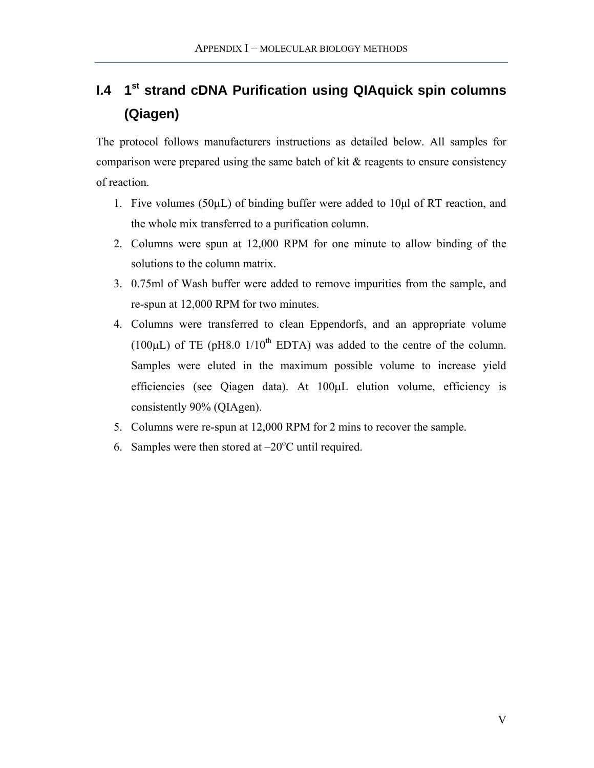# <span id="page-6-0"></span>**I.4 1st strand cDNA Purification using QIAquick spin columns (Qiagen)**

The protocol follows manufacturers instructions as detailed below. All samples for comparison were prepared using the same batch of kit  $\&$  reagents to ensure consistency of reaction.

- 1. Five volumes ( $50\mu$ L) of binding buffer were added to  $10\mu$ l of RT reaction, and the whole mix transferred to a purification column.
- 2. Columns were spun at 12,000 RPM for one minute to allow binding of the solutions to the column matrix.
- 3. 0.75ml of Wash buffer were added to remove impurities from the sample, and re-spun at 12,000 RPM for two minutes.
- 4. Columns were transferred to clean Eppendorfs, and an appropriate volume (100 $\mu$ L) of TE (pH8.0 1/10<sup>th</sup> EDTA) was added to the centre of the column. Samples were eluted in the maximum possible volume to increase yield efficiencies (see Qiagen data). At 100µL elution volume, efficiency is consistently 90% (QIAgen).
- 5. Columns were re-spun at 12,000 RPM for 2 mins to recover the sample.
- 6. Samples were then stored at  $-20^{\circ}$ C until required.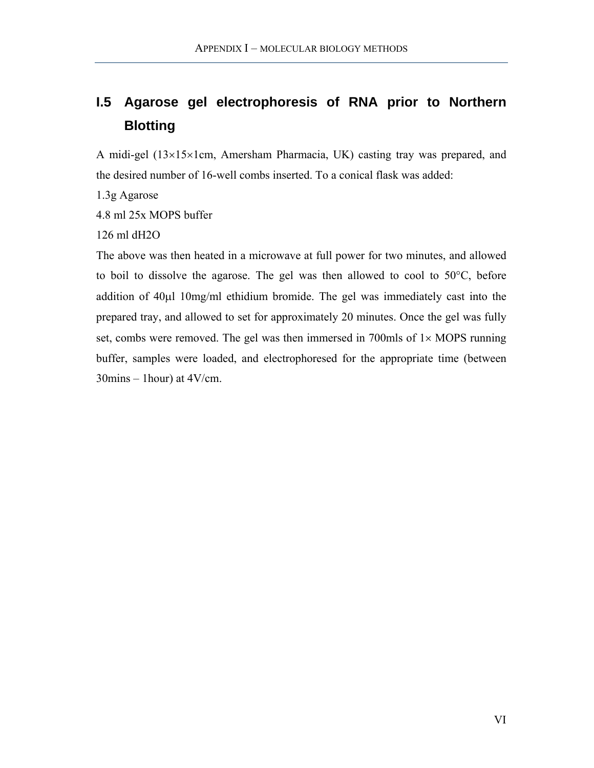# <span id="page-7-0"></span>**I.5 Agarose gel electrophoresis of RNA prior to Northern Blotting**

A midi-gel (13×15×1cm, Amersham Pharmacia, UK) casting tray was prepared, and the desired number of 16-well combs inserted. To a conical flask was added:

1.3g Agarose

4.8 ml 25x MOPS buffer

126 ml dH2O

The above was then heated in a microwave at full power for two minutes, and allowed to boil to dissolve the agarose. The gel was then allowed to cool to 50°C, before addition of 40µl 10mg/ml ethidium bromide. The gel was immediately cast into the prepared tray, and allowed to set for approximately 20 minutes. Once the gel was fully set, combs were removed. The gel was then immersed in 700mls of  $1 \times \text{MOPS}$  running buffer, samples were loaded, and electrophoresed for the appropriate time (between  $30 \text{mins} - 1 \text{hour}$ ) at  $4V/\text{cm}$ .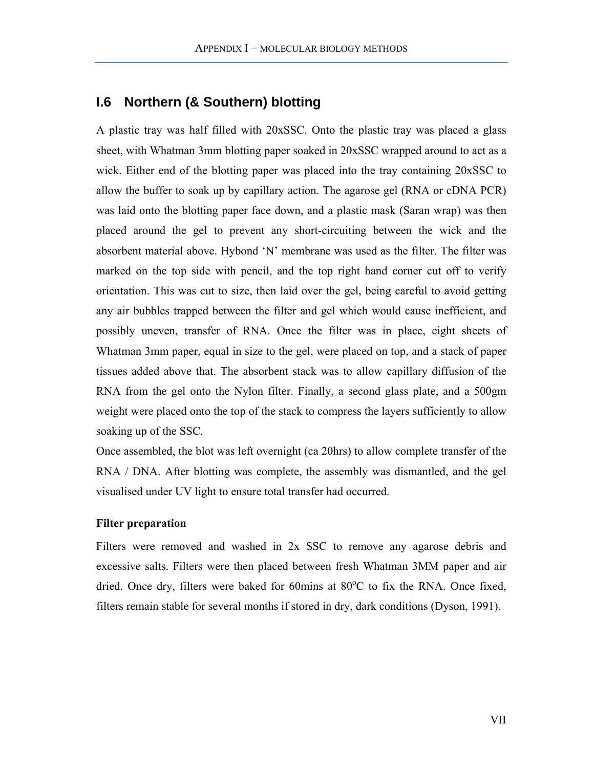# <span id="page-8-0"></span>**I.6 Northern (& Southern) blotting**

A plastic tray was half filled with 20xSSC. Onto the plastic tray was placed a glass sheet, with Whatman 3mm blotting paper soaked in 20xSSC wrapped around to act as a wick. Either end of the blotting paper was placed into the tray containing 20xSSC to allow the buffer to soak up by capillary action. The agarose gel (RNA or cDNA PCR) was laid onto the blotting paper face down, and a plastic mask (Saran wrap) was then placed around the gel to prevent any short-circuiting between the wick and the absorbent material above. Hybond 'N' membrane was used as the filter. The filter was marked on the top side with pencil, and the top right hand corner cut off to verify orientation. This was cut to size, then laid over the gel, being careful to avoid getting any air bubbles trapped between the filter and gel which would cause inefficient, and possibly uneven, transfer of RNA. Once the filter was in place, eight sheets of Whatman 3mm paper, equal in size to the gel, were placed on top, and a stack of paper tissues added above that. The absorbent stack was to allow capillary diffusion of the RNA from the gel onto the Nylon filter. Finally, a second glass plate, and a 500gm weight were placed onto the top of the stack to compress the layers sufficiently to allow soaking up of the SSC.

Once assembled, the blot was left overnight (ca 20hrs) to allow complete transfer of the RNA / DNA. After blotting was complete, the assembly was dismantled, and the gel visualised under UV light to ensure total transfer had occurred.

#### **Filter preparation**

Filters were removed and washed in 2x SSC to remove any agarose debris and excessive salts. Filters were then placed between fresh Whatman 3MM paper and air dried. Once dry, filters were baked for 60mins at 80°C to fix the RNA. Once fixed, filters remain stable for several months if stored in dry, dark conditions (Dyson, 1991).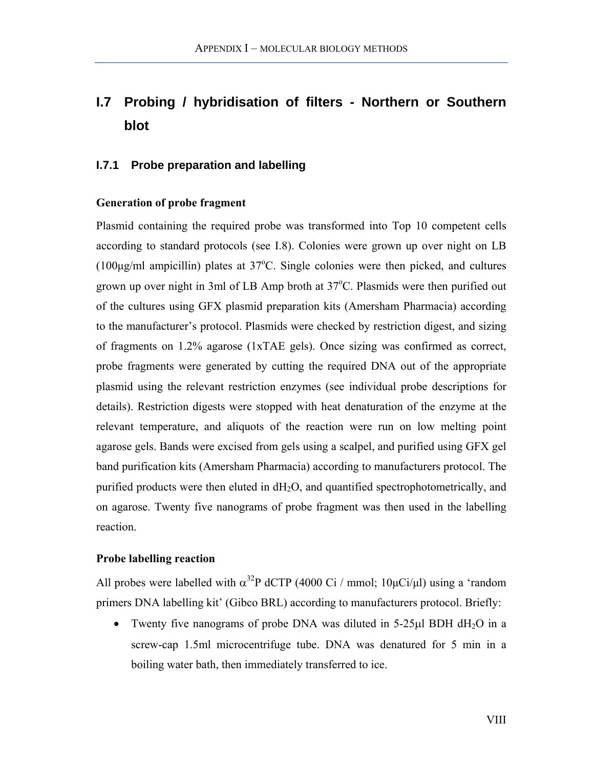# <span id="page-9-0"></span>**I.7 Probing / hybridisation of filters - Northern or Southern blot**

#### **I.7.1 Probe preparation and labelling**

#### **Generation of probe fragment**

Plasmid containing the required probe was transformed into Top 10 competent cells according to standard protocols (see [I.8\)](#page-13-1). Colonies were grown up over night on LB (100 $\mu$ g/ml ampicillin) plates at 37°C. Single colonies were then picked, and cultures grown up over night in 3ml of LB Amp broth at 37°C. Plasmids were then purified out of the cultures using GFX plasmid preparation kits (Amersham Pharmacia) according to the manufacturer's protocol. Plasmids were checked by restriction digest, and sizing of fragments on 1.2% agarose (1xTAE gels). Once sizing was confirmed as correct, probe fragments were generated by cutting the required DNA out of the appropriate plasmid using the relevant restriction enzymes (see individual probe descriptions for details). Restriction digests were stopped with heat denaturation of the enzyme at the relevant temperature, and aliquots of the reaction were run on low melting point agarose gels. Bands were excised from gels using a scalpel, and purified using GFX gel band purification kits (Amersham Pharmacia) according to manufacturers protocol. The purified products were then eluted in dH2O, and quantified spectrophotometrically, and on agarose. Twenty five nanograms of probe fragment was then used in the labelling reaction.

#### **Probe labelling reaction**

All probes were labelled with  $\alpha^{32}P$  dCTP (4000 Ci / mmol; 10 $\mu$ Ci/ $\mu$ l) using a 'random primers DNA labelling kit' (Gibco BRL) according to manufacturers protocol. Briefly:

• Twenty five nanograms of probe DNA was diluted in 5-25 $\mu$ l BDH dH<sub>2</sub>O in a screw-cap 1.5ml microcentrifuge tube. DNA was denatured for 5 min in a boiling water bath, then immediately transferred to ice.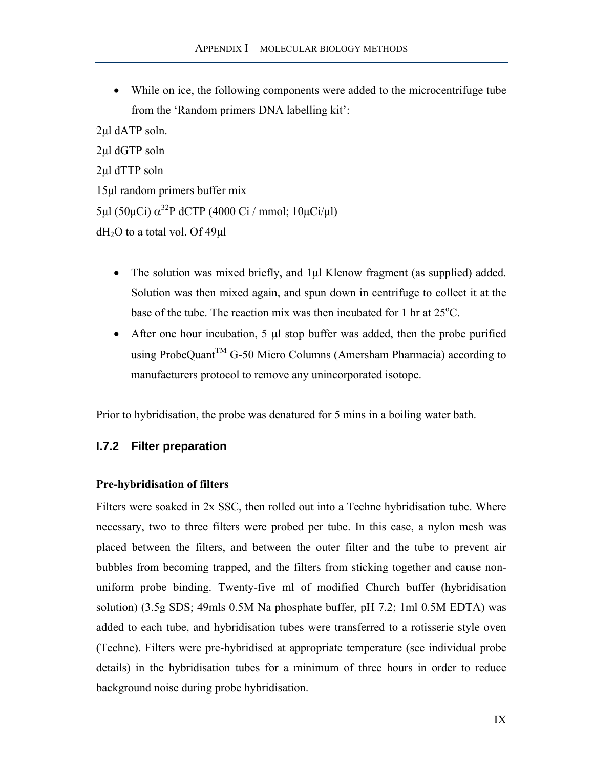<span id="page-10-0"></span>• While on ice, the following components were added to the microcentrifuge tube from the 'Random primers DNA labelling kit':

2µl dATP soln. 2µl dGTP soln 2µl dTTP soln 15µl random primers buffer mix  $5\mu$ l (50 $\mu$ Ci)  $\alpha^{32}$ P dCTP (4000 Ci / mmol; 10 $\mu$ Ci/ $\mu$ l)  $dH<sub>2</sub>O$  to a total vol. Of 49 $\mu$ l

- The solution was mixed briefly, and 1µl Klenow fragment (as supplied) added. Solution was then mixed again, and spun down in centrifuge to collect it at the base of the tube. The reaction mix was then incubated for 1 hr at  $25^{\circ}$ C.
- After one hour incubation, 5 µl stop buffer was added, then the probe purified using ProbeQuant<sup>TM</sup> G-50 Micro Columns (Amersham Pharmacia) according to manufacturers protocol to remove any unincorporated isotope.

Prior to hybridisation, the probe was denatured for 5 mins in a boiling water bath.

#### **I.7.2 Filter preparation**

#### **Pre-hybridisation of filters**

Filters were soaked in 2x SSC, then rolled out into a Techne hybridisation tube. Where necessary, two to three filters were probed per tube. In this case, a nylon mesh was placed between the filters, and between the outer filter and the tube to prevent air bubbles from becoming trapped, and the filters from sticking together and cause nonuniform probe binding. Twenty-five ml of modified Church buffer (hybridisation solution) (3.5g SDS; 49mls 0.5M Na phosphate buffer, pH 7.2; 1ml 0.5M EDTA) was added to each tube, and hybridisation tubes were transferred to a rotisserie style oven (Techne). Filters were pre-hybridised at appropriate temperature (see individual probe details) in the hybridisation tubes for a minimum of three hours in order to reduce background noise during probe hybridisation.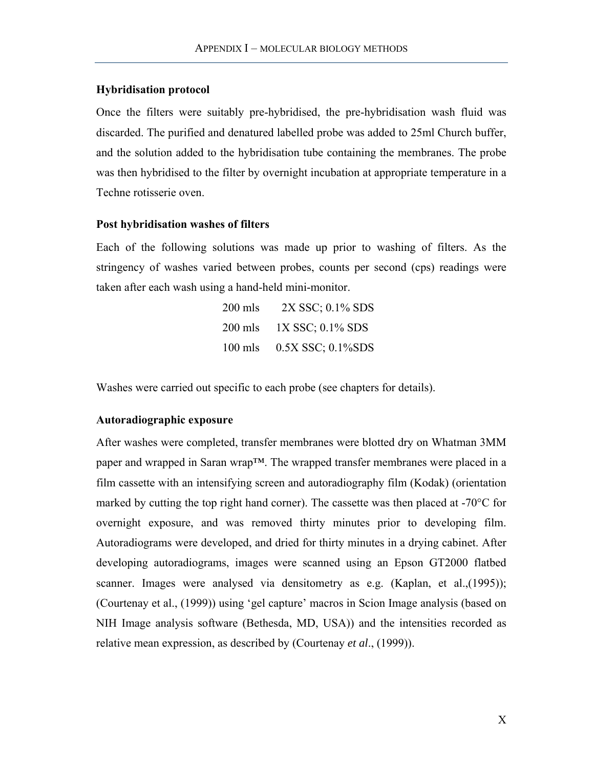#### **Hybridisation protocol**

Once the filters were suitably pre-hybridised, the pre-hybridisation wash fluid was discarded. The purified and denatured labelled probe was added to 25ml Church buffer, and the solution added to the hybridisation tube containing the membranes. The probe was then hybridised to the filter by overnight incubation at appropriate temperature in a Techne rotisserie oven.

#### **Post hybridisation washes of filters**

Each of the following solutions was made up prior to washing of filters. As the stringency of washes varied between probes, counts per second (cps) readings were taken after each wash using a hand-held mini-monitor.

| $200$ mls | 2X SSC; 0.1% SDS          |
|-----------|---------------------------|
| $200$ mls | 1X SSC; 0.1% SDS          |
|           | 100 mls 0.5X SSC; 0.1%SDS |

Washes were carried out specific to each probe (see chapters for details).

#### **Autoradiographic exposure**

After washes were completed, transfer membranes were blotted dry on Whatman 3MM paper and wrapped in Saran wrap™. The wrapped transfer membranes were placed in a film cassette with an intensifying screen and autoradiography film (Kodak) (orientation marked by cutting the top right hand corner). The cassette was then placed at -70°C for overnight exposure, and was removed thirty minutes prior to developing film. Autoradiograms were developed, and dried for thirty minutes in a drying cabinet. After developing autoradiograms, images were scanned using an Epson GT2000 flatbed scanner. Images were analysed via densitometry as e.g. (Kaplan, et al.,(1995)); (Courtenay et al., (1999)) using 'gel capture' macros in Scion Image analysis (based on NIH Image analysis software (Bethesda, MD, USA)) and the intensities recorded as relative mean expression, as described by (Courtenay *et al*., (1999)).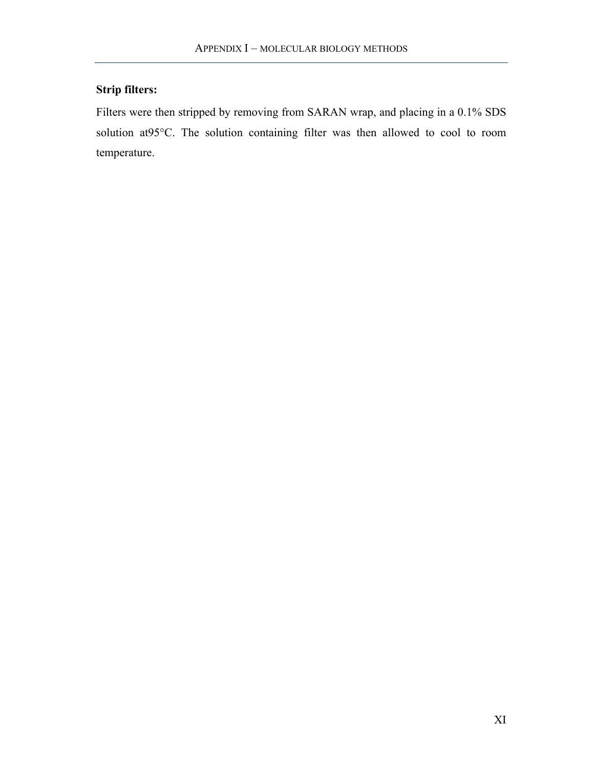# **Strip filters:**

Filters were then stripped by removing from SARAN wrap, and placing in a 0.1% SDS solution at95°C. The solution containing filter was then allowed to cool to room temperature.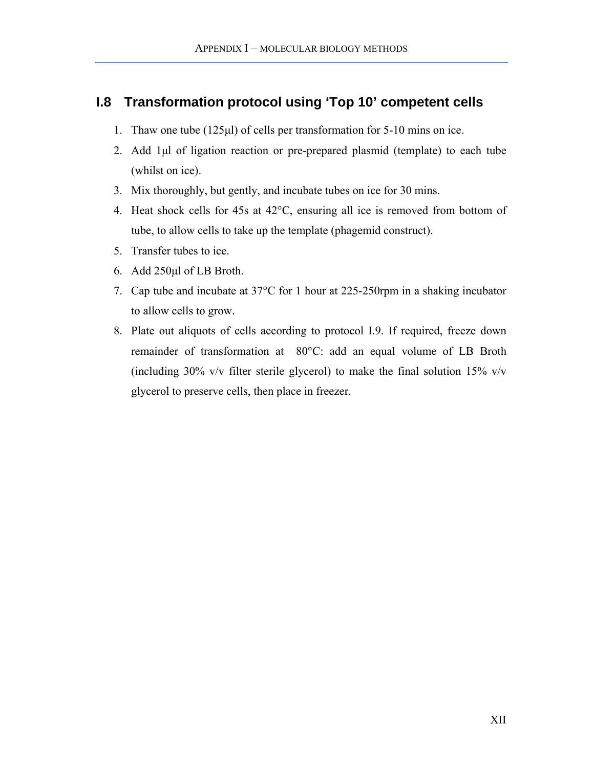# <span id="page-13-1"></span><span id="page-13-0"></span>**I.8 Transformation protocol using 'Top 10' competent cells**

- 1. Thaw one tube (125µl) of cells per transformation for 5-10 mins on ice.
- 2. Add 1µl of ligation reaction or pre-prepared plasmid (template) to each tube (whilst on ice).
- 3. Mix thoroughly, but gently, and incubate tubes on ice for 30 mins.
- 4. Heat shock cells for 45s at 42°C, ensuring all ice is removed from bottom of tube, to allow cells to take up the template (phagemid construct).
- 5. Transfer tubes to ice.
- 6. Add 250µl of LB Broth.
- 7. Cap tube and incubate at 37°C for 1 hour at 225-250rpm in a shaking incubator to allow cells to grow.
- 8. Plate out aliquots of cells according to protocol [I.9.](#page-14-1) If required, freeze down remainder of transformation at –80°C: add an equal volume of LB Broth (including 30% v/v filter sterile glycerol) to make the final solution 15% v/v glycerol to preserve cells, then place in freezer.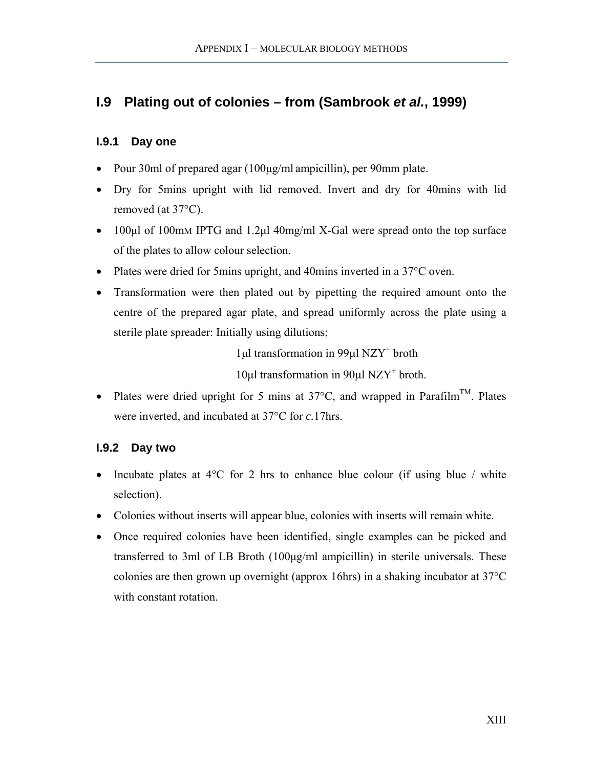# <span id="page-14-1"></span><span id="page-14-0"></span>**I.9 Plating out of colonies – from (Sambrook** *et al.***, 1999)**

### **I.9.1 Day one**

- Pour 30ml of prepared agar (100µg/ml ampicillin), per 90mm plate.
- Dry for 5mins upright with lid removed. Invert and dry for 40mins with lid removed (at 37°C).
- 100µl of 100mM IPTG and 1.2µl 40mg/ml X-Gal were spread onto the top surface of the plates to allow colour selection.
- Plates were dried for 5mins upright, and 40mins inverted in a 37°C oven.
- Transformation were then plated out by pipetting the required amount onto the centre of the prepared agar plate, and spread uniformly across the plate using a sterile plate spreader: Initially using dilutions;

1µl transformation in 99µl NZY+ broth

10µl transformation in 90µl NZY+ broth.

• Plates were dried upright for 5 mins at  $37^{\circ}$ C, and wrapped in Parafilm<sup>TM</sup>. Plates were inverted, and incubated at 37°C for *c.*17hrs.

# **I.9.2 Day two**

- Incubate plates at  $4^{\circ}$ C for 2 hrs to enhance blue colour (if using blue / white selection).
- Colonies without inserts will appear blue, colonies with inserts will remain white.
- Once required colonies have been identified, single examples can be picked and transferred to 3ml of LB Broth (100µg/ml ampicillin) in sterile universals. These colonies are then grown up overnight (approx 16hrs) in a shaking incubator at 37°C with constant rotation.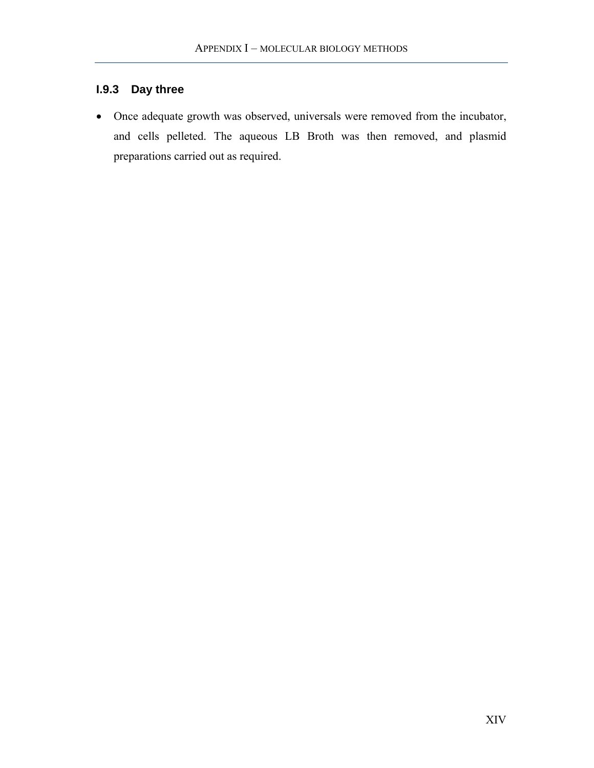# <span id="page-15-0"></span>**I.9.3 Day three**

• Once adequate growth was observed, universals were removed from the incubator, and cells pelleted. The aqueous LB Broth was then removed, and plasmid preparations carried out as required.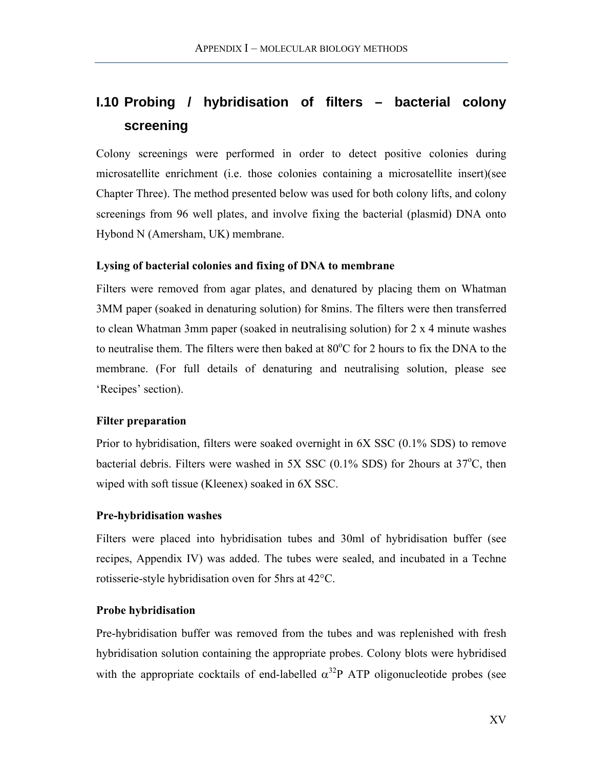# <span id="page-16-0"></span>**I.10 Probing / hybridisation of filters – bacterial colony screening**

Colony screenings were performed in order to detect positive colonies during microsatellite enrichment (i.e. those colonies containing a microsatellite insert)(see Chapter Three). The method presented below was used for both colony lifts, and colony screenings from 96 well plates, and involve fixing the bacterial (plasmid) DNA onto Hybond N (Amersham, UK) membrane.

#### **Lysing of bacterial colonies and fixing of DNA to membrane**

Filters were removed from agar plates, and denatured by placing them on Whatman 3MM paper (soaked in denaturing solution) for 8mins. The filters were then transferred to clean Whatman 3mm paper (soaked in neutralising solution) for 2 x 4 minute washes to neutralise them. The filters were then baked at  $80^{\circ}$ C for 2 hours to fix the DNA to the membrane. (For full details of denaturing and neutralising solution, please see 'Recipes' section).

#### **Filter preparation**

Prior to hybridisation, filters were soaked overnight in 6X SSC (0.1% SDS) to remove bacterial debris. Filters were washed in  $5X$  SSC (0.1% SDS) for 2hours at  $37^{\circ}$ C, then wiped with soft tissue (Kleenex) soaked in 6X SSC.

#### **Pre-hybridisation washes**

Filters were placed into hybridisation tubes and 30ml of hybridisation buffer (see recipes, Appendix IV) was added. The tubes were sealed, and incubated in a Techne rotisserie-style hybridisation oven for 5hrs at 42°C.

#### **Probe hybridisation**

Pre-hybridisation buffer was removed from the tubes and was replenished with fresh hybridisation solution containing the appropriate probes. Colony blots were hybridised with the appropriate cocktails of end-labelled  $\alpha^{32}P$  ATP oligonucleotide probes (see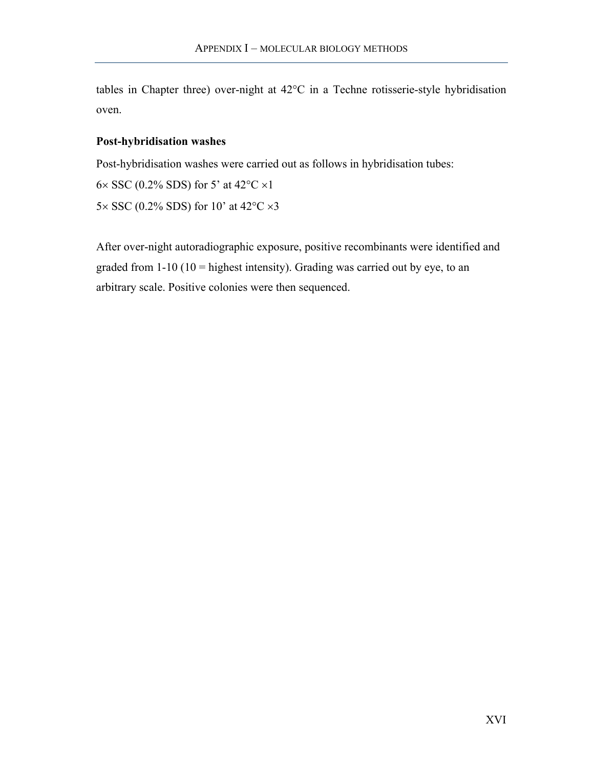tables in Chapter three) over-night at 42°C in a Techne rotisserie-style hybridisation oven.

#### **Post-hybridisation washes**

Post-hybridisation washes were carried out as follows in hybridisation tubes:

6 $\times$  SSC (0.2% SDS) for 5' at 42°C  $\times$ 1

5 $\times$  SSC (0.2% SDS) for 10' at 42°C  $\times$ 3

After over-night autoradiographic exposure, positive recombinants were identified and graded from  $1-10$  ( $10 =$  highest intensity). Grading was carried out by eye, to an arbitrary scale. Positive colonies were then sequenced.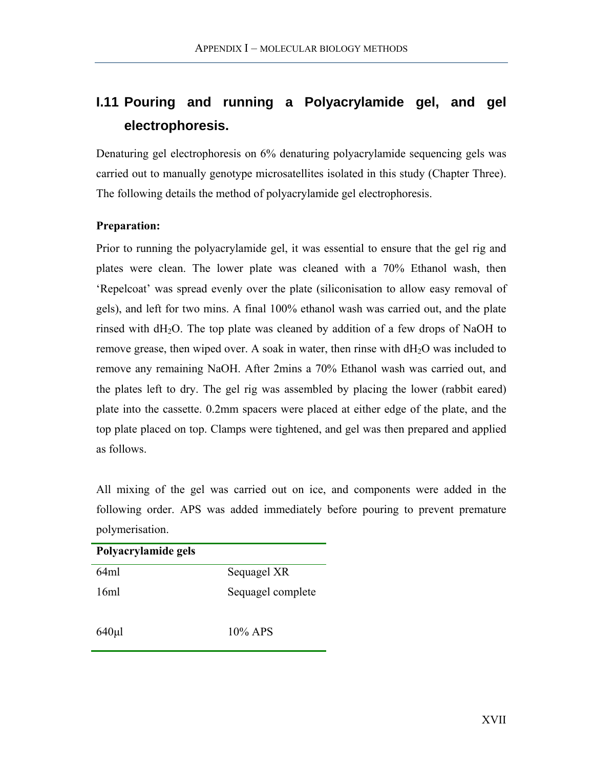# <span id="page-18-0"></span>**I.11 Pouring and running a Polyacrylamide gel, and gel electrophoresis.**

Denaturing gel electrophoresis on 6% denaturing polyacrylamide sequencing gels was carried out to manually genotype microsatellites isolated in this study (Chapter Three). The following details the method of polyacrylamide gel electrophoresis.

### **Preparation:**

Prior to running the polyacrylamide gel, it was essential to ensure that the gel rig and plates were clean. The lower plate was cleaned with a 70% Ethanol wash, then 'Repelcoat' was spread evenly over the plate (siliconisation to allow easy removal of gels), and left for two mins. A final 100% ethanol wash was carried out, and the plate rinsed with  $dH_2O$ . The top plate was cleaned by addition of a few drops of NaOH to remove grease, then wiped over. A soak in water, then rinse with  $dH<sub>2</sub>O$  was included to remove any remaining NaOH. After 2mins a 70% Ethanol wash was carried out, and the plates left to dry. The gel rig was assembled by placing the lower (rabbit eared) plate into the cassette. 0.2mm spacers were placed at either edge of the plate, and the top plate placed on top. Clamps were tightened, and gel was then prepared and applied as follows.

All mixing of the gel was carried out on ice, and components were added in the following order. APS was added immediately before pouring to prevent premature polymerisation.

| Polyacrylamide gels |                   |
|---------------------|-------------------|
| 64ml                | Sequagel XR       |
| 16ml                | Sequagel complete |
| $640 \mu$           | $10\%$ APS        |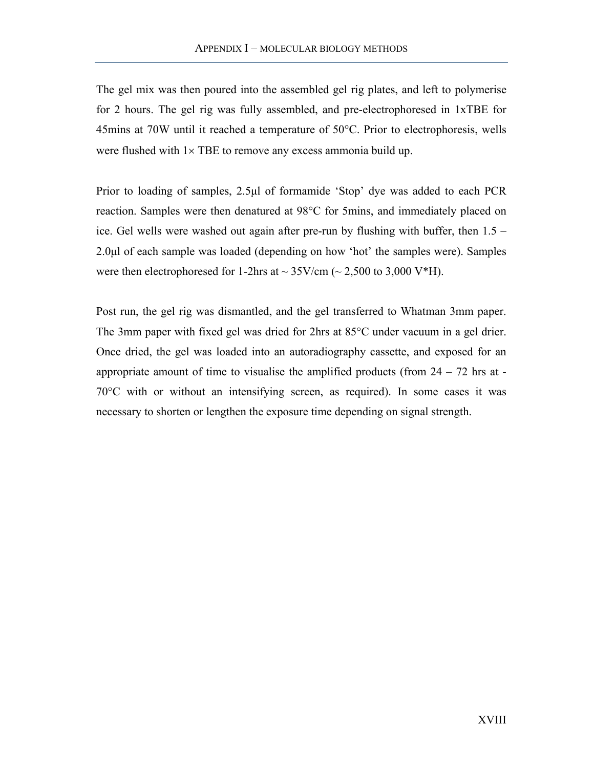The gel mix was then poured into the assembled gel rig plates, and left to polymerise for 2 hours. The gel rig was fully assembled, and pre-electrophoresed in 1xTBE for 45mins at 70W until it reached a temperature of 50°C. Prior to electrophoresis, wells were flushed with  $1 \times$  TBE to remove any excess ammonia build up.

Prior to loading of samples, 2.5µl of formamide 'Stop' dye was added to each PCR reaction. Samples were then denatured at 98°C for 5mins, and immediately placed on ice. Gel wells were washed out again after pre-run by flushing with buffer, then 1.5 – 2.0µl of each sample was loaded (depending on how 'hot' the samples were). Samples were then electrophoresed for 1-2hrs at  $\sim$  35V/cm ( $\sim$  2,500 to 3,000 V\*H).

Post run, the gel rig was dismantled, and the gel transferred to Whatman 3mm paper. The 3mm paper with fixed gel was dried for 2hrs at 85°C under vacuum in a gel drier. Once dried, the gel was loaded into an autoradiography cassette, and exposed for an appropriate amount of time to visualise the amplified products (from  $24 - 72$  hrs at -70°C with or without an intensifying screen, as required). In some cases it was necessary to shorten or lengthen the exposure time depending on signal strength.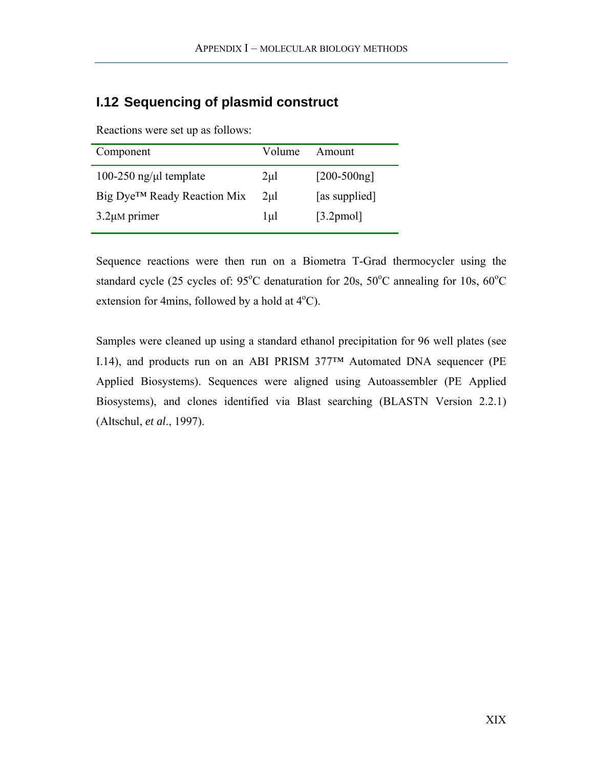# <span id="page-20-0"></span>**I.12 Sequencing of plasmid construct**

Reactions were set up as follows:

| Component                               | Volume   | Amount          |
|-----------------------------------------|----------|-----------------|
| 100-250 ng/ $\mu$ l template            | $2\mu$ l | $[200 - 500ng]$ |
| Big Dye <sup>™</sup> Ready Reaction Mix | $2\mu$   | [as supplied]   |
| $3.2 \mu M$ primer                      | 1µl      | $[3.2$ pmol]    |
|                                         |          |                 |

Sequence reactions were then run on a Biometra T-Grad thermocycler using the standard cycle (25 cycles of:  $95^{\circ}$ C denaturation for 20s,  $50^{\circ}$ C annealing for 10s,  $60^{\circ}$ C extension for 4mins, followed by a hold at  $4^{\circ}$ C).

Samples were cleaned up using a standard ethanol precipitation for 96 well plates (see [I.14\)](#page-22-1), and products run on an ABI PRISM 377™ Automated DNA sequencer (PE Applied Biosystems). Sequences were aligned using Autoassembler (PE Applied Biosystems), and clones identified via Blast searching (BLASTN Version 2.2.1) (Altschul, *et al*., 1997).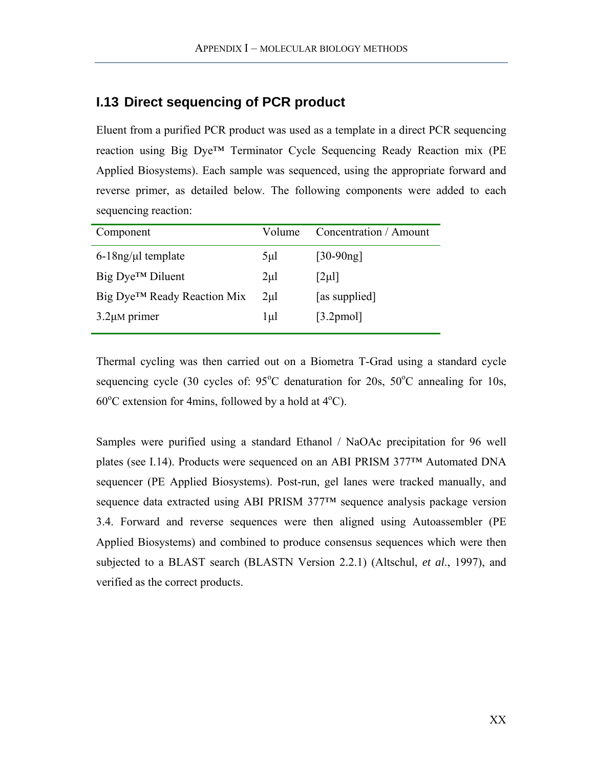# <span id="page-21-0"></span>**I.13 Direct sequencing of PCR product**

Eluent from a purified PCR product was used as a template in a direct PCR sequencing reaction using Big Dye™ Terminator Cycle Sequencing Ready Reaction mix (PE Applied Biosystems). Each sample was sequenced, using the appropriate forward and reverse primer, as detailed below. The following components were added to each sequencing reaction:

| Component                               | Volume    | Concentration / Amount |  |  |
|-----------------------------------------|-----------|------------------------|--|--|
| $6-18$ ng/µl template                   | $5\mu$ l  | $[30-90ng]$            |  |  |
| $Big Dye^{TM}$ Diluent                  | $2\mu$ l  | $[2\mu]$               |  |  |
| Big Dye <sup>™</sup> Ready Reaction Mix | $2\mu$ l  | [as supplied]          |  |  |
| $3.2 \mu M$ primer                      | $1 \mu l$ | $[3.2$ pmol]           |  |  |
|                                         |           |                        |  |  |

Thermal cycling was then carried out on a Biometra T-Grad using a standard cycle sequencing cycle (30 cycles of:  $95^{\circ}$ C denaturation for 20s,  $50^{\circ}$ C annealing for 10s,  $60^{\circ}$ C extension for 4mins, followed by a hold at  $4^{\circ}$ C).

Samples were purified using a standard Ethanol / NaOAc precipitation for 96 well plates (see [I.14\)](#page-22-1). Products were sequenced on an ABI PRISM 377™ Automated DNA sequencer (PE Applied Biosystems). Post-run, gel lanes were tracked manually, and sequence data extracted using ABI PRISM 377™ sequence analysis package version 3.4. Forward and reverse sequences were then aligned using Autoassembler (PE Applied Biosystems) and combined to produce consensus sequences which were then subjected to a BLAST search (BLASTN Version 2.2.1) (Altschul, *et al*., 1997), and verified as the correct products.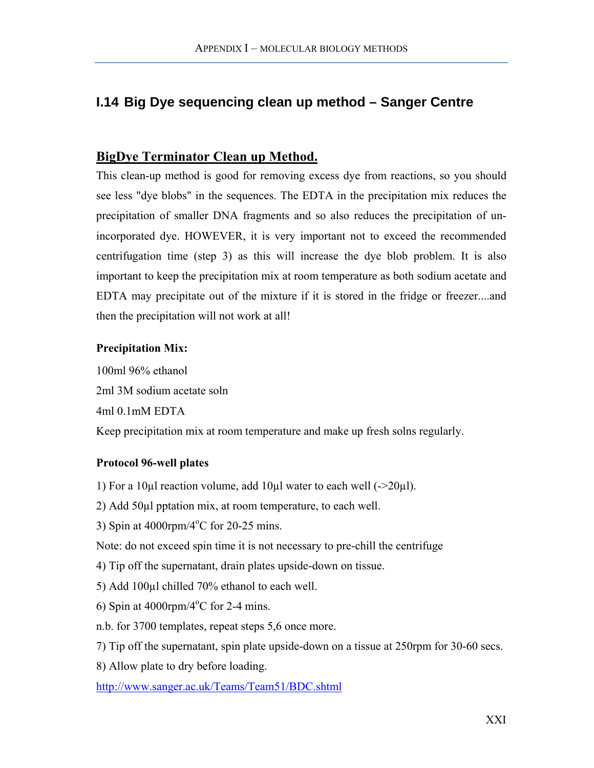# <span id="page-22-0"></span>**I.14 Big Dye sequencing clean up method – Sanger Centre**

# **BigDye Terminator Clean up Method.**

This clean-up method is good for removing excess dye from reactions, so you should see less "dye blobs" in the sequences. The EDTA in the precipitation mix reduces the precipitation of smaller DNA fragments and so also reduces the precipitation of unincorporated dye. HOWEVER, it is very important not to exceed the recommended centrifugation time (step 3) as this will increase the dye blob problem. It is also important to keep the precipitation mix at room temperature as both sodium acetate and EDTA may precipitate out of the mixture if it is stored in the fridge or freezer....and then the precipitation will not work at all!

### **Precipitation Mix:**

100ml 96% ethanol 2ml 3M sodium acetate soln 4ml 0.1mM EDTA Keep precipitation mix at room temperature and make up fresh solns regularly.

# **Protocol 96-well plates**

- 1) For a 10µl reaction volume, add 10µl water to each well  $(\geq 20\mu l)$ .
- 2) Add 50µl pptation mix, at room temperature, to each well.
- 3) Spin at  $4000$ rpm/ $4^{\circ}$ C for 20-25 mins.

Note: do not exceed spin time it is not necessary to pre-chill the centrifuge

- 4) Tip off the supernatant, drain plates upside-down on tissue.
- 5) Add 100µl chilled 70% ethanol to each well.
- <span id="page-22-1"></span>6) Spin at  $4000$ rpm/ $4^{\circ}$ C for 2-4 mins.
- n.b. for 3700 templates, repeat steps 5,6 once more.
- 7) Tip off the supernatant, spin plate upside-down on a tissue at 250rpm for 30-60 secs.
- 8) Allow plate to dry before loading.

<http://www.sanger.ac.uk/Teams/Team51/BDC.shtml>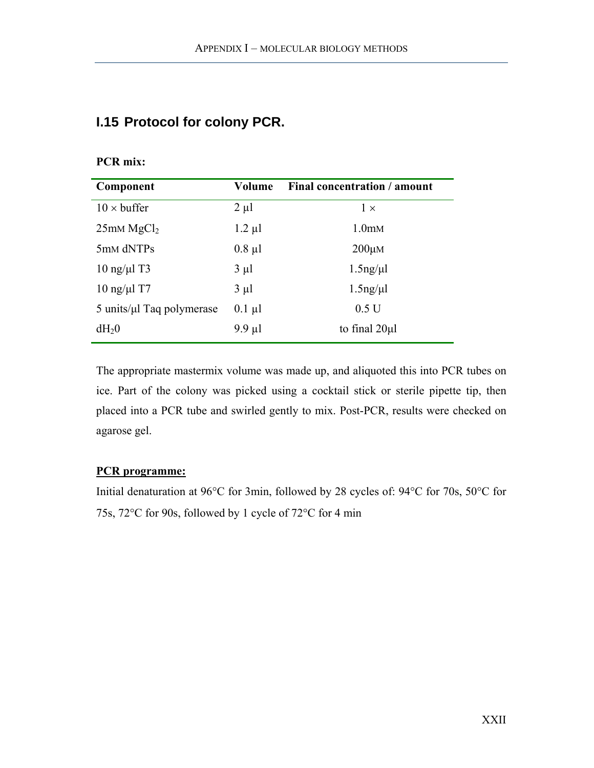# <span id="page-23-0"></span>**I.15 Protocol for colony PCR.**

# **PCR mix:**

| Component                              | Volume      | Final concentration / amount |
|----------------------------------------|-------------|------------------------------|
| $10 \times \text{buffer}$              | $2 \mu l$   | $1 \times$                   |
| $25$ mM MgC $l_2$                      | $1.2 \mu l$ | 1.0 <sub>mm</sub>            |
| 5mM dNTPs                              | $0.8 \mu l$ | $200 \mu M$                  |
| $10 \text{ ng/µ}$ l T3                 | $3 \mu l$   | $1.5$ ng/ $\mu$ l            |
| $10$ ng/ $\mu$ l T7                    | $3 \mu l$   | $1.5$ ng/ $\mu$ l            |
| $5 \text{ units/}\mu$ l Taq polymerase | $0.1 \mu l$ | 0.5 U                        |
| $dH_20$                                | $9.9 \mu l$ | to final 20µl                |

The appropriate mastermix volume was made up, and aliquoted this into PCR tubes on ice. Part of the colony was picked using a cocktail stick or sterile pipette tip, then placed into a PCR tube and swirled gently to mix. Post-PCR, results were checked on agarose gel.

### **PCR programme:**

Initial denaturation at 96°C for 3min, followed by 28 cycles of: 94°C for 70s, 50°C for 75s, 72°C for 90s, followed by 1 cycle of 72°C for 4 min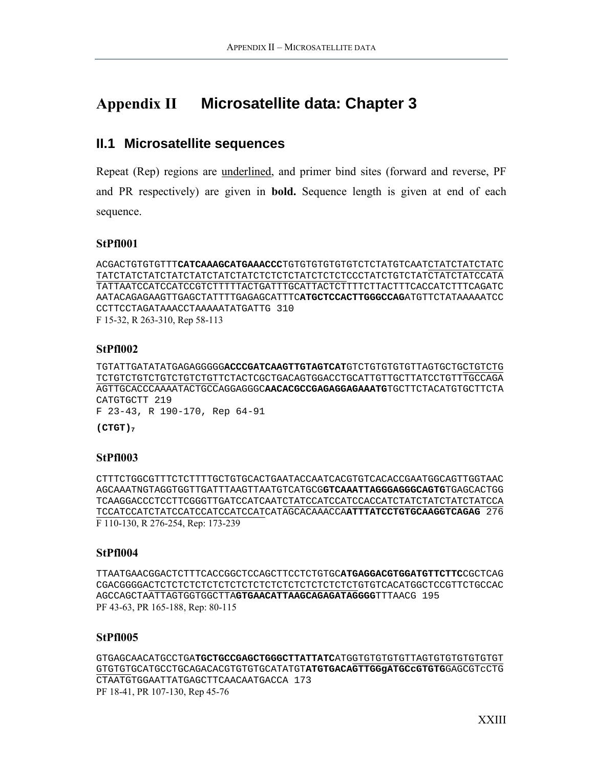# <span id="page-24-0"></span>**Appendix II Microsatellite data: Chapter 3**

# **II.1 Microsatellite sequences**

Repeat (Rep) regions are underlined, and primer bind sites (forward and reverse, PF and PR respectively) are given in **bold.** Sequence length is given at end of each sequence.

#### **StPfl001**

```
ACGACTGTGTGTTTCATCAAAGCATGAAACCCTGTGTGTGTGTGTCTCTATGTCAATCTATCTATCTATC
TATCTATCTATCTATCTATCTATCTATCTCTCTCTATCTCTCTCCCTATCTGTCTATCTATCTATCCATA
TATTAATCCATCCATCCGTCTTTTTACTGATTTGCATTACTCTTTTCTTACTTTCACCATCTTTCAGATC
AATACAGAGAAGTTGAGCTATTTTGAGAGCATTTCATGCTCCACTTGGGCCAGATGTTCTATAAAAATCC
CCTTCCTAGATAAACCTAAAAATATGATTG 310 
F 15-32, R 263-310, Rep 58-113
```
#### **StPfl002**

TGTATTGATATATGAGAGGGGG**ACCCGATCAAGTTGTAGTCAT**GTCTGTGTGTGTTAGTGCTGCTGTCTG TCTGTCTGTCTGTCTGTCTGTTCTACTCGCTGACAGTGGACCTGCATTGTTGCTTATCCTGTTTGCCAGA AGTTGCACCCAAAATACTGCCAGGAGGGC**AACACGCCGAGAGGAGAAATG**TGCTTCTACATGTGCTTCTA CATGTGCTT 219 F 23-43, R 190-170, Rep 64-91

**(CTGT)7**

#### **StPfl003**

CTTTCTGGCGTTTCTCTTTTGCTGTGCACTGAATACCAATCACGTGTCACACCGAATGGCAGTTGGTAAC AGCAAATNGTAGGTGGTTGATTTAAGTTAATGTCATGCG**GTCAAATTAGGGAGGGCAGTG**TGAGCACTGG TCAAGGACCCTCCTTCGGGTTGATCCATCAATCTATCCATCCATCCACCATCTATCTATCTATCTATCCA TCCATCCATCTATCCATCCATCCATCCATCATAGCACAAACCA**ATTTATCCTGTGCAAGGTCAGAG** 276 F 110-130, R 276-254, Rep: 173-239

#### **StPfl004**

TTAATGAACGGACTCTTTCACCGGCTCCAGCTTCCTCTGTGC**ATGAGGACGTGGATGTTCTTC**CGCTCAG CGACGGGGACTCTCTCTCTCTCTCTCTCTCTCTCTCTCTCTCTCTGTGTCACATGGCTCCGTTCTGCCAC AGCCAGCTAATTAGTGGTGGCTTA**GTGAACATTAAGCAGAGATAGGGG**TTTAACG 195 PF 43-63, PR 165-188, Rep: 80-115

#### **StPfl005**

GTGAGCAACATGCCTGA**TGCTGCCGAGCTGGGCTTATTATC**ATGGTGTGTGTGTTAGTGTGTGTGTGTGT GTGTGTGCATGCCTGCAGACACGTGTGTGCATATGT**ATGTGACAGTTGGgATGCcGTGTG**GAGCGTcCTG CTAATGTGGAATTATGAGCTTCAACAATGACCA 173 PF 18-41, PR 107-130, Rep 45-76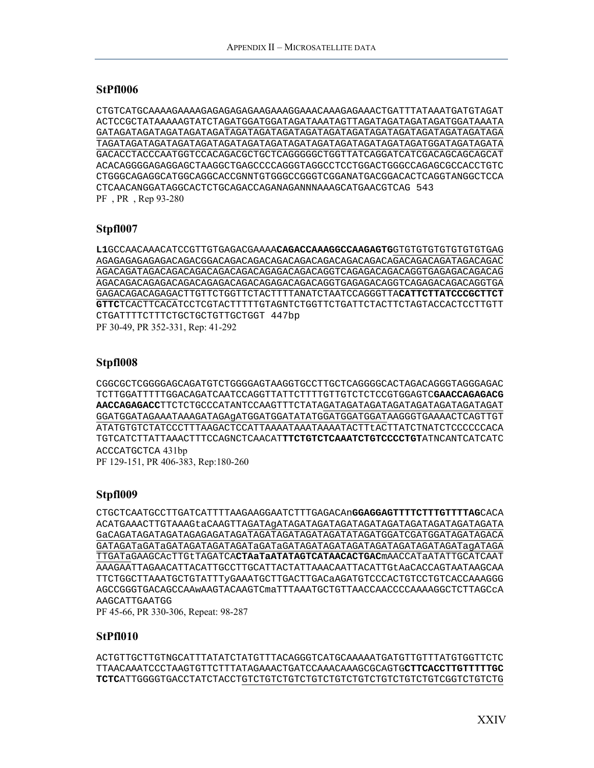#### **StPfl006**

CTGTCATGCAAAAGAAAAGAGAGAGAGAAGAAAGGAAACAAAGAGAAACTGATTTATAAATGATGTAGAT ACTCCGCTATAAAAAGTATCTAGATGGATGGATAGATAAATAGTTAGATAGATAGATAGATGGATAAATA GATAGATAGATAGATAGATAGATAGATAGATAGATAGATAGATAGATAGATAGATAGATAGATAGATAGA TAGATAGATAGATAGATAGATAGATAGATAGATAGATAGATAGATAGATAGATAGATGGATAGATAGATA GACACCTACCCAATGGTCCACAGACGCTGCTCAGGGGGCTGGTTATCAGGATCATCGACAGCAGCAGCAT ACACAGGGGAGAGGAGCTAAGGCTGAGCCCCAGGGTAGGCCTCCTGGACTGGGCCAGAGCGCCACCTGTC CTGGGCAGAGGCATGGCAGGCACCGNNTGTGGGCCGGGTCGGANATGACGGACACTCAGGTANGGCTCCA CTCAACANGGATAGGCACTCTGCAGACCAGANAGANNNAAAGCATGAACGTCAG 543 PF , PR , Rep 93-280

#### **Stpfl007**

**L1**GCCAACAAACATCCGTTGTGAGACGAAAA**CAGACCAAAGGCCAAGAGTG**GTGTGTGTGTGTGTGTGAG AGAGAGAGAGAGACAGACGGACAGACAGACAGACAGACAGACAGACAGACAGACAGACAGATAGACAGAC AGACAGATAGACAGACAGACAGACAGACAGAGACAGACAGGTCAGAGACAGACAGGTGAGAGACAGACAG AGACAGACAGAGACAGACAGAGACAGACAGAGACAGACAGGTGAGAGACAGGTCAGAGACAGACAGGTGA GAGACAGACAGAGACTTGTTCTGGTTCTACTTTTANATCTAATCCAGGGTTA**CATTCTTATCCCGCTTCT GTTC**TCACTTCACATCCTCGTACTTTTTGTAGNTCTGGTTCTGATTCTACTTCTAGTACCACTCCTTGTT CTGATTTTCTTTCTGCTGCTGTTGCTGGT 447bp PF 30-49, PR 352-331, Rep: 41-292

#### **Stpfl008**

CGGCGCTCGGGGAGCAGATGTCTGGGGAGTAAGGTGCCTTGCTCAGGGGCACTAGACAGGGTAGGGAGAC TCTTGGATTTTTGGACAGATCAATCCAGGTTATTCTTTTGTTGTCTCTCCGTGGAGTC**GAACCAGAGACG AACCAGAGACC**TTCTCTGCCCATANTCCAAGTTTCTATAGATAGATAGATAGATAGATAGATAGATAGAT GGATGGATAGAAATAAAGATAGAgATGGATGGATATATGGATGGATGGATAAGGGTGAAAACTCAGTTGT ATATGTGTCTATCCCTTTAAGACTCCATTAAAATAAATAAAATACTTtACTTATCTNATCTCCCCCCACA TGTCATCTTATTAAACTTTCCAGNCTCAACAT**TTCTGTCTCAAATCTGTCCCCTGT**ATNCANTCATCATC ACCCATGCTCA 431bp PF 129-151, PR 406-383, Rep:180-260

#### **Stpfl009**

CTGCTCAATGCCTTGATCATTTTAAGAAGGAATCTTTGAGACAn**GGAGGAGTTTTCTTTGTTTTAG**CACA ACATGAAACTTGTAAAGtaCAAGTTAGATAgATAGATAGATAGATAGATAGATAGATAGATAGATAGATA GaCAGATAGATAGATAGAGAGATAGATAGATAGATAGATAGATATAGATGGATCGATGGATAGATAGACA GATAGATaGATaGATAGATAGATAGATaGATaGATAGATAGATAGATAGATAGATAGATAGATagATAGA TTGATaGAAGCAcTTGtTAGATCA**CTAaTaATATAGTCATAACACTGAC**mAACCATaATATTGCATCAAT AAAGAATTAGAACATTACATTGCCTTGCATTACTATTAAACAATTACATTGtAaCACCAGTAATAAGCAA TTCTGGCTTAAATGCTGTATTTyGAAATGCTTGACTTGACaAGATGTCCCACTGTCCTGTCACCAAAGGG AGCCGGGTGACAGCCAAwAAGTACAAGTCmaTTTAAATGCTGTTAACCAACCCCAAAAGGCTCTTAGCcA AAGCATTGAATGG

PF 45-66, PR 330-306, Repeat: 98-287

### **StPfl010**

ACTGTTGCTTGTNGCATTTATATCTATGTTTACAGGGTCATGCAAAAATGATGTTGTTTATGTGGTTCTC TTAACAAATCCCTAAGTGTTCTTTATAGAAACTGATCCAAACAAAGCGCAGTG**CTTCACCTTGTTTTTGC TCTC**ATTGGGGTGACCTATCTACCTGTCTGTCTGTCTGTCTGTCTGTCTGTCTGTCTGTCGGTCTGTCTG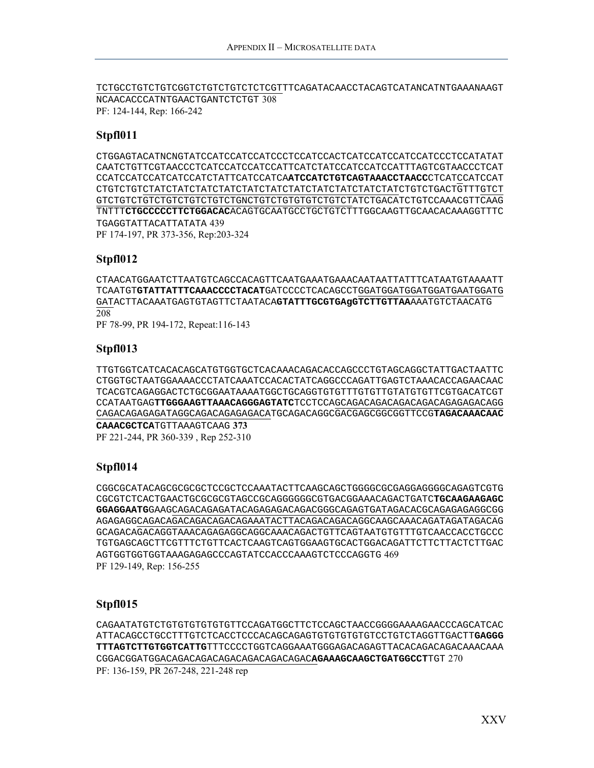TCTGCCTGTCTGTCGGTCTGTCTGTCTCTCGTTTCAGATACAACCTACAGTCATANCATNTGAAANAAGT NCAACACCCATNTGAACTGANTCTCTGT 308 PF: 124-144, Rep: 166-242

#### **Stpfl011**

CTGGAGTACATNCNGTATCCATCCATCCATCCCTCCATCCACTCATCCATCCATCCATCCCTCCATATAT CAATCTGTTCGTAACCCTCATCCATCCATCCATTCATCTATCCATCCATCCATTTAGTCGTAACCCTCAT CCATCCATCCATCATCCATCTATTCATCCATCA**ATCCATCTGTCAGTAAACCTAACC**CTCATCCATCCAT CTGTCTGTCTATCTATCTATCTATCTATCTATCTATCTATCTATCTATCTATCTGTCTGACTGTTTGTCT GTCTGTCTGTCTGTCTGTCTGTCTGNCTGTCTGTGTGTCTGTCTATCTGACATCTGTCCAAACGTTCAAG TNTTT**CTGCCCCCTTCTGGACAC**ACAGTGCAATGCCTGCTGTCTTTGGCAAGTTGCAACACAAAGGTTTC TGAGGTATTACATTATATA 439 PF 174-197, PR 373-356, Rep:203-324

#### **Stpfl012**

CTAACATGGAATCTTAATGTCAGCCACAGTTCAATGAAATGAAACAATAATTATTTCATAATGTAAAATT TCAATGT**GTATTATTTCAAACCCCTACAT**GATCCCCTCACAGCCTGGATGGATGGATGGATGAATGGATG GATACTTACAAATGAGTGTAGTTCTAATACA**GTATTTGCGTGAgGTCTTGTTAA**AAATGTCTAACATG 208

PF 78-99, PR 194-172, Repeat:116-143

#### **Stpfl013**

TTGTGGTCATCACACAGCATGTGGTGCTCACAAACAGACACCAGCCCTGTAGCAGGCTATTGACTAATTC CTGGTGCTAATGGAAAACCCTATCAAATCCACACTATCAGGCCCAGATTGAGTCTAAACACCAGAACAAC TCACGTCAGAGGACTCTGCGGAATAAAATGGCTGCAGGTGTGTTTGTGTTGTATGTGTTCGTGACATCGT CCATAATGAG**TTGGGAAGTTAAACAGGGAGTATC**TCCTCCAGCAGACAGACAGACAGACAGAGAGACAGG CAGACAGAGAGATAGGCAGACAGAGAGACATGCAGACAGGCGACGAGCGGCGGTTCCG**TAGACAAACAAC CAAACGCTCA**TGTTAAAGTCAAG **373** PF 221-244, PR 360-339 , Rep 252-310

#### **Stpfl014**

CGGCGCATACAGCGCGCGCTCCGCTCCAAATACTTCAAGCAGCTGGGGCGCGAGGAGGGGCAGAGTCGTG CGCGTCTCACTGAACTGCGCGCGTAGCCGCAGGGGGGCGTGACGGAAACAGACTGATC**TGCAAGAAGAGC GGAGGAATG**GAAGCAGACAGAGATACAGAGAGACAGACGGGCAGAGTGATAGACACGCAGAGAGAGGCGG AGAGAGGCAGACAGACAGACAGACAGAAATACTTACAGACAGACAGGCAAGCAAACAGATAGATAGACAG GCAGACAGACAGGTAAACAGAGAGGCAGGCAAACAGACTGTTCAGTAATGTGTTTGTCAACCACCTGCCC TGTGAGCAGCTTCGTTTCTGTTCACTCAAGTCAGTGGAAGTGCACTGGACAGATTCTTCTTACTCTTGAC AGTGGTGGTGGTAAAGAGAGCCCAGTATCCACCCAAAGTCTCCCAGGTG 469 PF 129-149, Rep: 156-255

#### **Stpfl015**

CAGAATATGTCTGTGTGTGTGTGTTCCAGATGGCTTCTCCAGCTAACCGGGGAAAAGAACCCAGCATCAC ATTACAGCCTGCCTTTGTCTCACCTCCCACAGCAGAGTGTGTGTGTGTCCTGTCTAGGTTGACTT**GAGGG TTTAGTCTTGTGGTCATTG**TTTCCCCTGGTCAGGAAATGGGAGACAGAGTTACACAGACAGACAAACAAA CGGACGGATGGACAGACAGACAGACAGACAGACAGAC**AGAAAGCAAGCTGATGGCCT**TGT 270 PF: 136-159, PR 267-248, 221-248 rep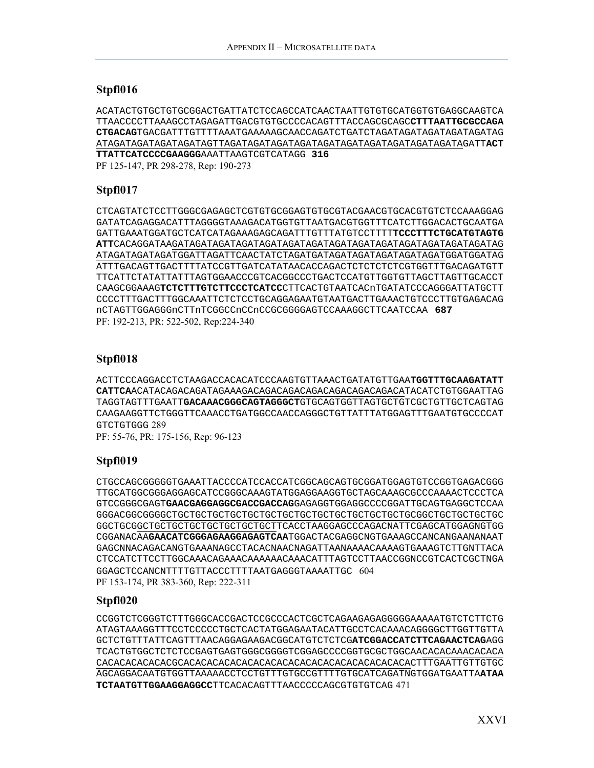#### **Stpfl016**

ACATACTGTGCTGTGCGGACTGATTATCTCCAGCCATCAACTAATTGTGTGCATGGTGTGAGGCAAGTCA TTAACCCCTTAAAGCCTAGAGATTGACGTGTGCCCCACAGTTTACCAGCGCAGC**CTTTAATTGCGCCAGA CTGACAG**TGACGATTTGTTTTAAATGAAAAAGCAACCAGATCTGATCTAGATAGATAGATAGATAGATAG ATAGATAGATAGATAGATAGTTAGATAGATAGATAGATAGATAGATAGATAGATAGATAGATAGATT**ACT TTATTCATCCCCGAAGGG**AAATTAAGTCGTCATAGG **316** 

PF 125-147, PR 298-278, Rep: 190-273

#### **Stpfl017**

CTCAGTATCTCCTTGGGCGAGAGCTCGTGTGCGGAGTGTGCGTACGAACGTGCACGTGTCTCCAAAGGAG GATATCAGAGGACATTTAGGGGTAAAGACATGGTGTTAATGACGTGGTTTCATCTTGGACACTGCAATGA GATTGAAATGGATGCTCATCATAGAAAGAGCAGATTTGTTTATGTCCTTTT**TCCCTTTCTGCATGTAGTG ATT**CACAGGATAAGATAGATAGATAGATAGATAGATAGATAGATAGATAGATAGATAGATAGATAGATAG ATAGATAGATAGATGGATTAGATTCAACTATCTAGATGATAGATAGATAGATAGATAGATGGATGGATAG ATTTGACAGTTGACTTTTATCCGTTGATCATATAACACCAGACTCTCTCTCTCGTGGTTTGACAGATGTT TTCATTCTATATTATTTAGTGGAACCCGTCACGGCCCTGACTCCATGTTGGTGTTAGCTTAGTTGCACCT CAAGCGGAAAG**TCTCTTTGTCTTCCCTCATCC**CTTCACTGTAATCACnTGATATCCCAGGGATTATGCTT CCCCTTTGACTTTGGCAAATTCTCTCCTGCAGGAGAATGTAATGACTTGAAACTGTCCCTTGTGAGACAG nCTAGTTGGAGGGnCTTnTCGGCCnCCnCCGCGGGGAGTCCAAAGGCTTCAATCCAA **687** PF: 192-213, PR: 522-502, Rep:224-340

#### **Stpfl018**

ACTTCCCAGGACCTCTAAGACCACACATCCCAAGTGTTAAACTGATATGTTGAA**TGGTTTGCAAGATATT CATTCA**ACATACAGACAGATAGAAAGACAGACAGACAGACAGACAGACAGACATACATCTGTGGAATTAG TAGGTAGTTTGAATT**GACAAACGGGCAGTAGGGCT**GTGCAGTGGTTAGTGCTGTCGCTGTTGCTCAGTAG CAAGAAGGTTCTGGGTTCAAACCTGATGGCCAACCAGGGCTGTTATTTATGGAGTTTGAATGTGCCCCAT GTCTGTGGG 289 PF: 55-76, PR: 175-156, Rep: 96-123

#### **Stpfl019**

CTGCCAGCGGGGGTGAAATTACCCCATCCACCATCGGCAGCAGTGCGGATGGAGTGTCCGGTGAGACGGG TTGCATGGCGGGAGGAGCATCCGGGCAAAGTATGGAGGAAGGTGCTAGCAAAGCGCCCAAAACTCCCTCA GTCCGGGCGAGT**GAACGAGGAGGCGACCGACCAG**GAGAGGTGGAGGCCCCGGATTGCAGTGAGGCTCCAA GGGACGGCGGGGCTGCTGCTGCTGCTGCTGCTGCTGCTGCTGCTGCTGCTGCTGCGGCTGCTGCTGCTGC GGCTGCGGCTGCTGCTGCTGCTGCTGCTGCTTCACCTAAGGAGCCCAGACNATTCGAGCATGGAGNGTGG CGGANACAA**GAACATCGGGAGAAGGAGAGTCAA**TGGACTACGAGGCNGTGAAAGCCANCANGAANANAAT GAGCNNACAGACANGTGAAANAGCCTACACNAACNAGATTAANAAAACAAAAGTGAAAGTCTTGNTTACA CTCCATCTTCCTTGGCAAACAGAAACAAAAAACAAACATTTAGTCCTTAACCGGNCCGTCACTCGCTNGA GGAGCTCCANCNTTTTGTTACCCTTTTAATGAGGGTAAAATTGC 604 PF 153-174, PR 383-360, Rep: 222-311

#### **Stpfl020**

CCGGTCTCGGGTCTTTGGGCACCGACTCCGCCCACTCGCTCAGAAGAGAGGGGGAAAAATGTCTCTTCTG ATAGTAAAGGTTTCCTCCCCCTGCTCACTATGGAGAATACATTGCCTCACAAACAGGGGCTTGGTTGTTA GCTCTGTTTATTCAGTTTAACAGGAGAAGACGGCATGTCTCTCG**ATCGGACCATCTTCAGAACTCAG**AGG TCACTGTGGCTCTCTCCGAGTGAGTGGGCGGGGTCGGAGCCCCGGTGCGCTGGCAACACACAAACACACA CACACACACACACGCACACACACACACACACACACACACACACACACACACACACTTTGAATTGTTGTGC AGCAGGACAATGTGGTTAAAAACCTCCTGTTTGTGCCGTTTTGTGCATCAGATNGTGGATGAATTA**ATAA TCTAATGTTGGAAGGAGGCC**TTCACACAGTTTAACCCCCAGCGTGTGTCAG 471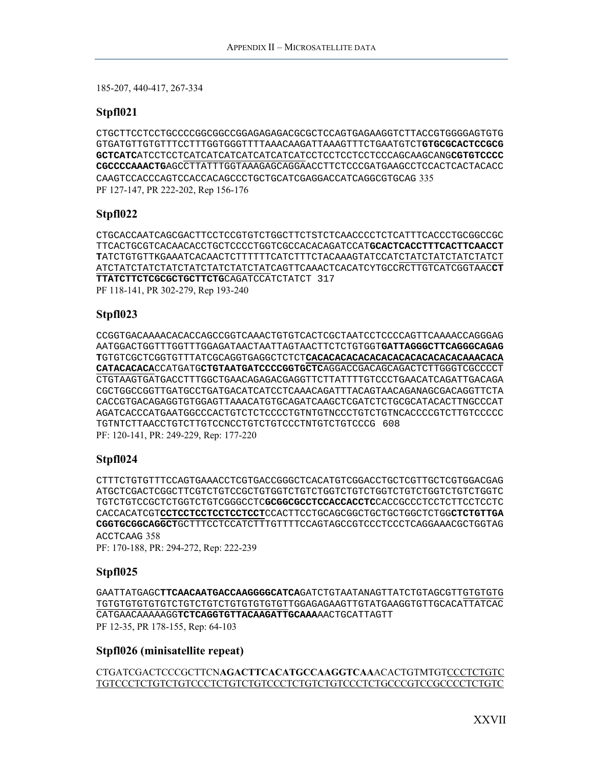185-207, 440-417, 267-334

#### **Stpfl021**

CTGCTTCCTCCTGCCCCGGCGGCCGGAGAGAGACGCGCTCCAGTGAGAAGGTCTTACCGTGGGGAGTGTG GTGATGTTGTGTTTCCTTTGGTGGGTTTTAAACAAGATTAAAGTTTCTGAATGTCT**GTGCGCACTCCGCG GCTCATC**ATCCTCCTCATCATCATCATCATCATCATCCTCCTCCTCCTCCCAGCAAGCANG**CGTGTCCCC CGCCCCAAACTG**AGCCTTATTTGGTAAAGAGCAGGAACCTTCTCCCGATGAAGCCTCCACTCACTACACC CAAGTCCACCCAGTCCACCACAGCCCTGCTGCATCGAGGACCATCAGGCGTGCAG 335 PF 127-147, PR 222-202, Rep 156-176

#### **Stpfl022**

CTGCACCAATCAGCGACTTCCTCCGTGTCTGGCTTCTSTCTCAACCCCTCTCATTTCACCCTGCGGCCGC TTCACTGCGTCACAACACCTGCTCCCCTGGTCGCCACACAGATCCAT**GCACTCACCTTTCACTTCAACCT T**ATCTGTGTTKGAAATCACAACTCTTTTTTCATCTTTCTACAAAGTATCCATCTATCTATCTATCTATCT ATCTATCTATCTATCTATCTATCTATCTATCAGTTCAAACTCACATCYTGCCRCTTGTCATCGGTAAC**CT TTATCTTCTCGCGCTGCTTCTG**CAGATCCATCTATCT 317 PF 118-141, PR 302-279, Rep 193-240

#### **Stpfl023**

CCGGTGACAAAACACACCAGCCGGTCAAACTGTGTCACTCGCTAATCCTCCCCAGTTCAAAACCAGGGAG AATGGACTGGTTTGGTTTGGAGATAACTAATTAGTAACTTCTCTGTGGT**GATTAGGGCTTCAGGGCAGAG T**GTGTCGCTCGGTGTTTATCGCAGGTGAGGCTCTCT**CACACACACACACACACACACACACACAAACACA CATACACACA**CCATGATG**CTGTAATGATCCCCGGTGCTC**AGGACCGACAGCAGACTCTTGGGTCGCCCCT CTGTAAGTGATGACCTTTGGCTGAACAGAGACGAGGTTCTTATTTTGTCCCTGAACATCAGATTGACAGA CGCTGGCCGGTTGATGCCTGATGACATCATCCTCAAACAGATTTACAGTAACAGANAGCGACAGGTTCTA CACCGTGACAGAGGTGTGGAGTTAAACATGTGCAGATCAAGCTCGATCTCTGCGCATACACTTNGCCCAT AGATCACCCATGAATGGCCCACTGTCTCTCCCCTGTNTGTNCCCTGTCTGTNCACCCCGTCTTGTCCCCC TGTNTCTTAACCTGTCTTGTCCNCCTGTCTGTCCCTNTGTCTGTCCCG 608 PF: 120-141, PR: 249-229, Rep: 177-220

#### **Stpfl024**

CTTTCTGTGTTTCCAGTGAAACCTCGTGACCGGGCTCACATGTCGGACCTGCTCGTTGCTCGTGGACGAG ATGCTCGACTCGGCTTCGTCTGTCCGCTGTGGTCTGTCTGGTCTGTCTGGTCTGTCTGGTCTGTCTGGTC TGTCTGTCCGCTCTGGTCTGTCGGGCCTC**GCGGCGCCTCCACCACCTC**CACCGCCCTCCTCTTCCTCCTC CACCACATCGT**CCTCCTCCTCCTCCTCCT**CCACTTCCTGCAGCGGCTGCTGCTGGCTCTGG**CTCTGTTGA CGGTGCGGCAGGCT**GCTTTCCTCCATCTTTGTTTTCCAGTAGCCGTCCCTCCCTCAGGAAACGCTGGTAG ACCTCAAG 358

PF: 170-188, PR: 294-272, Rep: 222-239

#### **Stpfl025**

GAATTATGAGC**TTCAACAATGACCAAGGGGCATCA**GATCTGTAATANAGTTATCTGTAGCGTTGTGTGTG TGTGTGTGTGTGTCTGTCTGTCTGTGTGTGTGTTGGAGAGAAGTTGTATGAAGGTGTTGCACATTATCAC CATGAACAAAAAGG**TCTCAGGTGTTACAAGATTGCAAA**AACTGCATTAGTT PF 12-35, PR 178-155, Rep: 64-103

#### **Stpfl026 (minisatellite repeat)**

CTGATCGACTCCCGCTTCN**AGACTTCACATGCCAAGGTCAA**ACACTGTMTGTCCCTCTGTC TGTCCCTCTGTCTGTCCCTCTGTCTGTCCCTCTGTCTGTCCCTCTGCCCGTCCGCCCCTCTGTC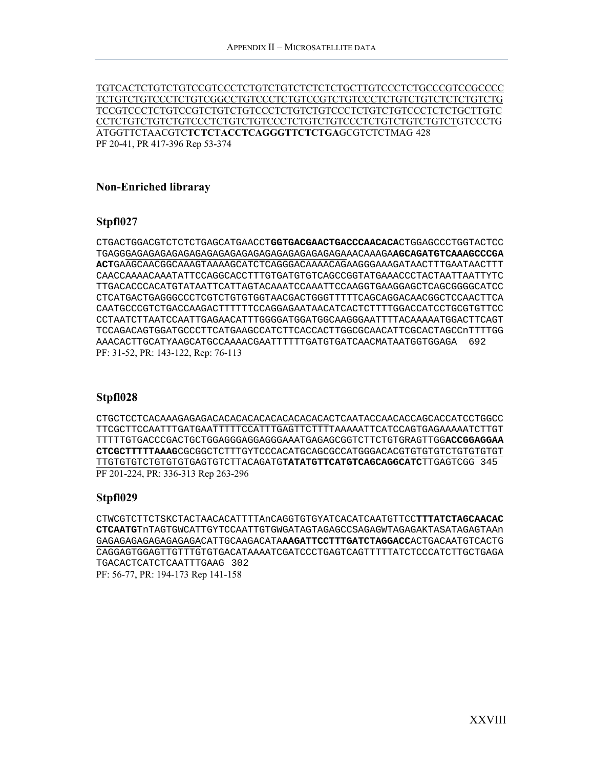TGTCACTCTGTCTGTCCGTCCCTCTGTCTGTCTCTCTCTGCTTGTCCCTCTGCCCGTCCGCCCC TCTGTCTGTCCCTCTGTCGGCCTGTCCCTCTGTCCGTCTGTCCCTCTGTCTGTCTCTCTGTCTG TCCGTCCCTCTGTCCGTCTGTCTGTCCCTCTGTCTGTCCCTCTGTCTGTCCCTCTCTGCTTGTC CCTCTGTCTGTCTGTCCCTCTGTCTGTCCCTCTGTCTGTCCCTCTGTCTGTCTGTCTGTCCCTG ATGGTTCTAACGTC**TCTCTACCTCAGGGTTCTCTGA**GCGTCTCTMAG 428 PF 20-41, PR 417-396 Rep 53-374

#### **Non-Enriched libraray**

#### **Stpfl027**

CTGACTGGACGTCTCTCTGAGCATGAACCT**GGTGACGAACTGACCCAACACA**CTGGAGCCCTGGTACTCC TGAGGGAGAGAGAGAGAGAGAGAGAGAGAGAGAGAGAGAGAGAAACAAAGA**AGCAGATGTCAAAGCCCGA ACT**GAAGCAACGGCAAAGTAAAAGCATCTCAGGGACAAAACAGAAGGGAAAGATAACTTTGAATAACTTT CAACCAAAACAAATATTCCAGGCACCTTTGTGATGTGTCAGCCGGTATGAAACCCTACTAATTAATTYTC TTGACACCCACATGTATAATTCATTAGTACAAATCCAAATTCCAAGGTGAAGGAGCTCAGCGGGGCATCC CTCATGACTGAGGGCCCTCGTCTGTGTGGTAACGACTGGGTTTTTCAGCAGGACAACGGCTCCAACTTCA CAATGCCCGTCTGACCAAGACTTTTTTCCAGGAGAATAACATCACTCTTTTGGACCATCCTGCGTGTTCC CCTAATCTTAATCCAATTGAGAACATTTGGGGATGGATGGCAAGGGAATTTTACAAAAATGGACTTCAGT TCCAGACAGTGGATGCCCTTCATGAAGCCATCTTCACCACTTGGCGCAACATTCGCACTAGCCnTTTTGG AAACACTTGCATYAAGCATGCCAAAACGAATTTTTTGATGTGATCAACMATAATGGTGGAGA 692 PF: 31-52, PR: 143-122, Rep: 76-113

#### **Stpfl028**

CTGCTCCTCACAAAGAGAGACACACACACACACACACACACTCAATACCAACACCAGCACCATCCTGGCC TTCGCTTCCAATTTGATGAATTTTTCCATTTGAGTTCTTTTAAAAATTCATCCAGTGAGAAAAATCTTGT TTTTTGTGACCCGACTGCTGGAGGGAGGAGGGAAATGAGAGCGGTCTTCTGTGRAGTTGG**ACCGGAGGAA CTCGCTTTTTAAAG**CGCGGCTCTTTGYTCCCACATGCAGCGCCATGGGACACGTGTGTGTCTGTGTGTGT TTGTGTGTCTGTGTGTGAGTGTCTTACAGATG**TATATGTTCATGTCAGCAGGCATC**TTGAGTCGG 345 PF 201-224, PR: 336-313 Rep 263-296

#### **Stpfl029**

CTWCGTCTTCTSKCTACTAACACATTTTAnCAGGTGTGYATCACATCAATGTTCC**TTTATCTAGCAACAC CTCAATG**TnTAGTGWCATTGYTCCAATTGTGWGATAGTAGAGCCSAGAGWTAGAGAKTASATAGAGTAAn GAGAGAGAGAGAGAGAGACATTGCAAGACATA**AAGATTCCTTTGATCTAGGACC**ACTGACAATGTCACTG CAGGAGTGGAGTTGTTTGTGTGACATAAAATCGATCCCTGAGTCAGTTTTTATCTCCCATCTTGCTGAGA TGACACTCATCTCAATTTGAAG 302 PF: 56-77, PR: 194-173 Rep 141-158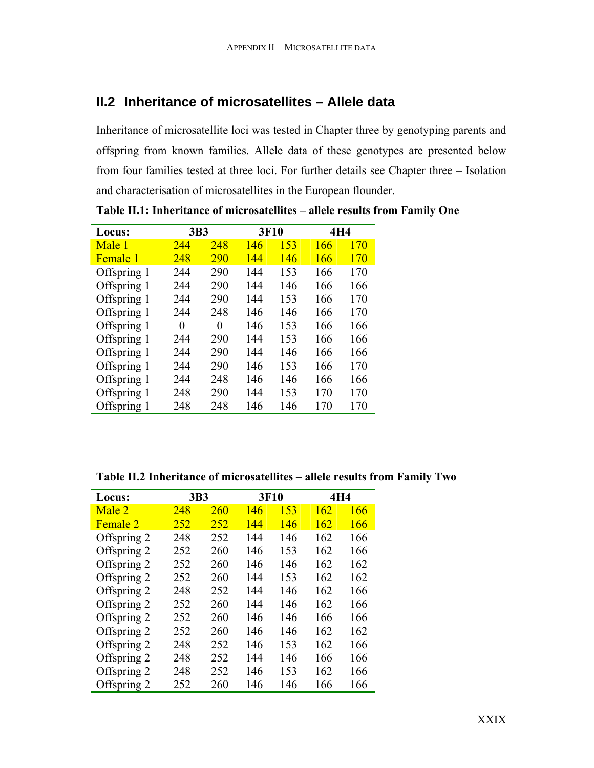# <span id="page-30-0"></span>**II.2 Inheritance of microsatellites – Allele data**

Inheritance of microsatellite loci was tested in Chapter three by genotyping parents and offspring from known families. Allele data of these genotypes are presented below from four families tested at three loci. For further details see Chapter three – Isolation and characterisation of microsatellites in the European flounder.

| Locus:          | 3B3 |     | 3F10 |     | 4H4 |     |
|-----------------|-----|-----|------|-----|-----|-----|
| Male 1          | 244 | 248 | 146  | 153 | 166 | 170 |
| <b>Female</b> 1 | 248 | 290 | 144  | 146 | 166 | 170 |
| Offspring 1     | 244 | 290 | 144  | 153 | 166 | 170 |
| Offspring 1     | 244 | 290 | 144  | 146 | 166 | 166 |
| Offspring 1     | 244 | 290 | 144  | 153 | 166 | 170 |
| Offspring 1     | 244 | 248 | 146  | 146 | 166 | 170 |
| Offspring 1     | 0   | 0   | 146  | 153 | 166 | 166 |
| Offspring 1     | 244 | 290 | 144  | 153 | 166 | 166 |
| Offspring 1     | 244 | 290 | 144  | 146 | 166 | 166 |
| Offspring 1     | 244 | 290 | 146  | 153 | 166 | 170 |
| Offspring 1     | 244 | 248 | 146  | 146 | 166 | 166 |
| Offspring 1     | 248 | 290 | 144  | 153 | 170 | 170 |
| Offspring 1     | 248 | 248 | 146  | 146 | 170 | 170 |

**Table II.1: Inheritance of microsatellites – allele results from Family One** 

| Table II.2 Inheritance of microsatellites – allele results from Family Two |  |  |
|----------------------------------------------------------------------------|--|--|
|----------------------------------------------------------------------------|--|--|

| Locus:      | 3B3 |     | 3F10 |     | 4H4 |     |
|-------------|-----|-----|------|-----|-----|-----|
| Male 2      | 248 | 260 | 146  | 153 | 162 | 166 |
| Female 2    | 252 | 252 | 144  | 146 | 162 | 166 |
| Offspring 2 | 248 | 252 | 144  | 146 | 162 | 166 |
| Offspring 2 | 252 | 260 | 146  | 153 | 162 | 166 |
| Offspring 2 | 252 | 260 | 146  | 146 | 162 | 162 |
| Offspring 2 | 252 | 260 | 144  | 153 | 162 | 162 |
| Offspring 2 | 248 | 252 | 144  | 146 | 162 | 166 |
| Offspring 2 | 252 | 260 | 144  | 146 | 162 | 166 |
| Offspring 2 | 252 | 260 | 146  | 146 | 166 | 166 |
| Offspring 2 | 252 | 260 | 146  | 146 | 162 | 162 |
| Offspring 2 | 248 | 252 | 146  | 153 | 162 | 166 |
| Offspring 2 | 248 | 252 | 144  | 146 | 166 | 166 |
| Offspring 2 | 248 | 252 | 146  | 153 | 162 | 166 |
| Offspring 2 | 252 | 260 | 146  | 146 | 166 | 166 |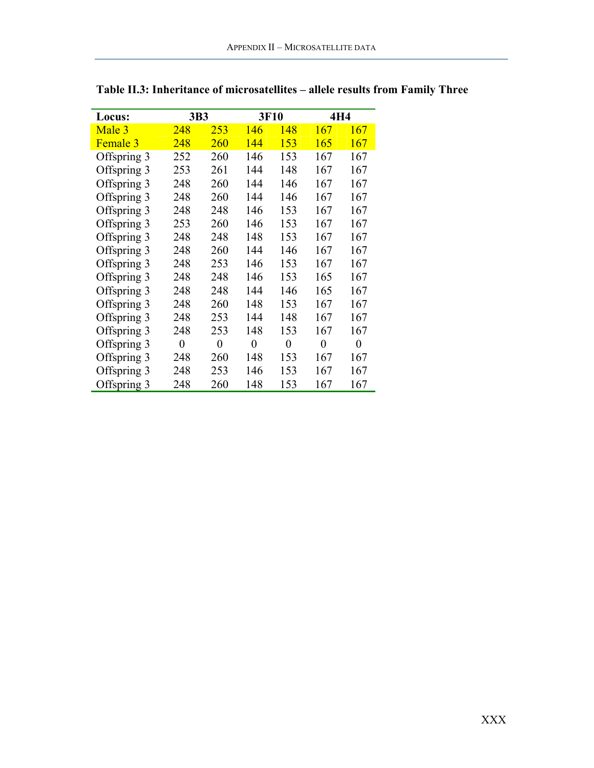| Locus:      | 3B3            |     | 3F10           |          | 4H4            |                |
|-------------|----------------|-----|----------------|----------|----------------|----------------|
| Male 3      | 248            | 253 | 146            | 148      | 167            | 167            |
| Female 3    | 248            | 260 | 144            | 153      | 165            | 167            |
| Offspring 3 | 252            | 260 | 146            | 153      | 167            | 167            |
| Offspring 3 | 253            | 261 | 144            | 148      | 167            | 167            |
| Offspring 3 | 248            | 260 | 144            | 146      | 167            | 167            |
| Offspring 3 | 248            | 260 | 144            | 146      | 167            | 167            |
| Offspring 3 | 248            | 248 | 146            | 153      | 167            | 167            |
| Offspring 3 | 253            | 260 | 146            | 153      | 167            | 167            |
| Offspring 3 | 248            | 248 | 148            | 153      | 167            | 167            |
| Offspring 3 | 248            | 260 | 144            | 146      | 167            | 167            |
| Offspring 3 | 248            | 253 | 146            | 153      | 167            | 167            |
| Offspring 3 | 248            | 248 | 146            | 153      | 165            | 167            |
| Offspring 3 | 248            | 248 | 144            | 146      | 165            | 167            |
| Offspring 3 | 248            | 260 | 148            | 153      | 167            | 167            |
| Offspring 3 | 248            | 253 | 144            | 148      | 167            | 167            |
| Offspring 3 | 248            | 253 | 148            | 153      | 167            | 167            |
| Offspring 3 | $\overline{0}$ | 0   | $\overline{0}$ | $\theta$ | $\overline{0}$ | $\overline{0}$ |
| Offspring 3 | 248            | 260 | 148            | 153      | 167            | 167            |
| Offspring 3 | 248            | 253 | 146            | 153      | 167            | 167            |
| Offspring 3 | 248            | 260 | 148            | 153      | 167            | 167            |

**Table II.3: Inheritance of microsatellites – allele results from Family Three**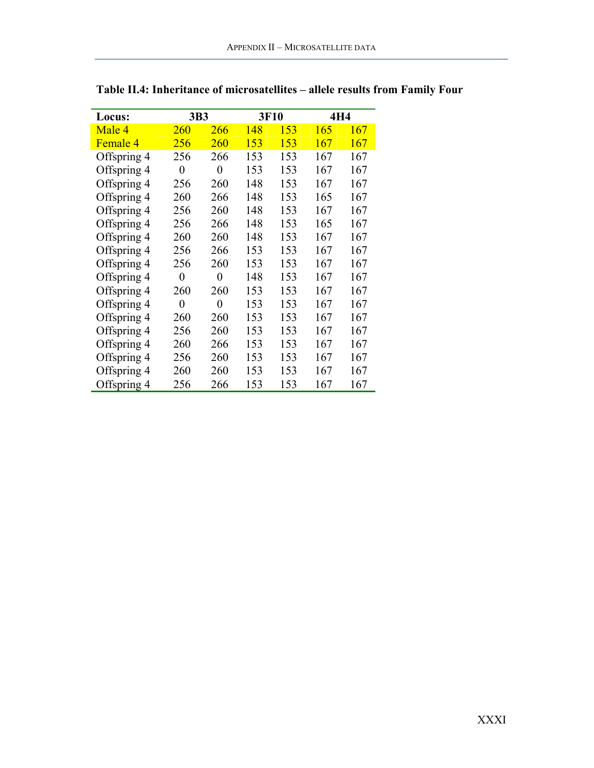| Locus:      | 3B3              |                  | 3F10 |     | 4H4 |     |  |
|-------------|------------------|------------------|------|-----|-----|-----|--|
| Male 4      | 260              | 266              | 148  | 153 | 165 | 167 |  |
| Female 4    | 256              | <b>260</b>       | 153  | 153 | 167 | 167 |  |
| Offspring 4 | 256              | 266              | 153  | 153 | 167 | 167 |  |
| Offspring 4 | $\boldsymbol{0}$ | $\boldsymbol{0}$ | 153  | 153 | 167 | 167 |  |
| Offspring 4 | 256              | 260              | 148  | 153 | 167 | 167 |  |
| Offspring 4 | 260              | 266              | 148  | 153 | 165 | 167 |  |
| Offspring 4 | 256              | 260              | 148  | 153 | 167 | 167 |  |
| Offspring 4 | 256              | 266              | 148  | 153 | 165 | 167 |  |
| Offspring 4 | 260              | 260              | 148  | 153 | 167 | 167 |  |
| Offspring 4 | 256              | 266              | 153  | 153 | 167 | 167 |  |
| Offspring 4 | 256              | 260              | 153  | 153 | 167 | 167 |  |
| Offspring 4 | $\boldsymbol{0}$ | $\boldsymbol{0}$ | 148  | 153 | 167 | 167 |  |
| Offspring 4 | 260              | 260              | 153  | 153 | 167 | 167 |  |
| Offspring 4 | $\overline{0}$   | $\boldsymbol{0}$ | 153  | 153 | 167 | 167 |  |
| Offspring 4 | 260              | 260              | 153  | 153 | 167 | 167 |  |
| Offspring 4 | 256              | 260              | 153  | 153 | 167 | 167 |  |
| Offspring 4 | 260              | 266              | 153  | 153 | 167 | 167 |  |
| Offspring 4 | 256              | 260              | 153  | 153 | 167 | 167 |  |
| Offspring 4 | 260              | 260              | 153  | 153 | 167 | 167 |  |
| Offspring 4 | 256              | 266              | 153  | 153 | 167 | 167 |  |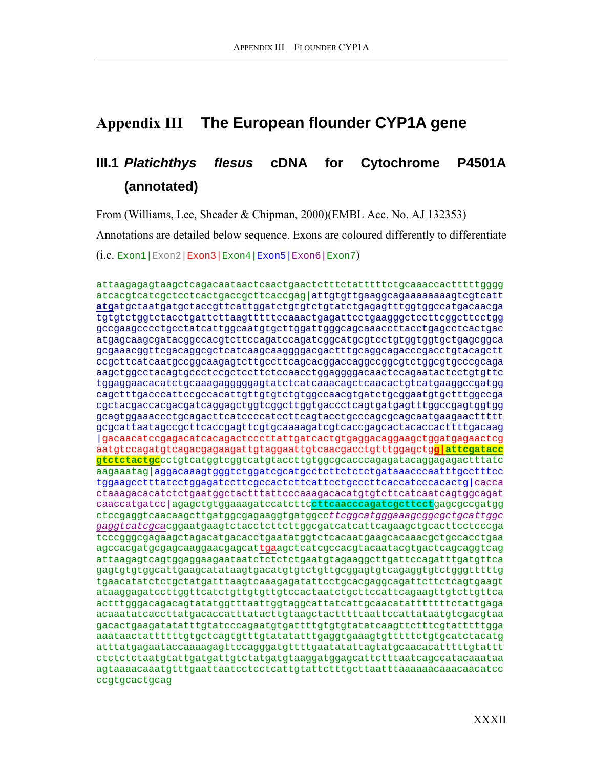# <span id="page-33-0"></span>**Appendix III The European flounder CYP1A gene**

# **III.1** *Platichthys flesus* **cDNA for Cytochrome P4501A (annotated)**

From (Williams, Lee, Sheader & Chipman, 2000)(EMBL Acc. No. AJ 132353)

Annotations are detailed below sequence. Exons are coloured differently to differentiate

 $(i.e.$  Exon1 | Exon2 | Exon3 | Exon4 | Exon5 | Exon6 | Exon7 )

attaagagagtaagctcagacaataactcaactgaactctttctatttttctgcaaaccactttttgggg atcacgtcatcgctcctcactgaccgcttcaccgag|attgtgttgaaggcagaaaaaaaagtcgtcatt **atg**atgctaatgatgctaccgttcattggatctgtgtctgtatctgagagtttggtggccatgacaacga tgtgtctggtctacctgattcttaagtttttccaaactgagattcctgaagggctccttcggcttcctgg gccgaagcccctgcctatcattggcaatgtgcttggattgggcagcaaaccttacctgagcctcactgac atgagcaagcgatacggccacgtcttccagatccagatcggcatgcgtcctgtggtggtgctgagcggca gcgaaacggttcgacaggcgctcatcaagcaaggggacgactttgcaggcagacccgacctgtacagctt ccgcttcatcaatgccggcaagagtcttgccttcagcacggaccaggccggcgtctggcgtgcccgcaga aagctggcctacagtgccctccgctccttctccaacctggaggggacaactccagaatactcctgtgttc tggaggaacacatctgcaaagagggggagtatctcatcaaacagctcaacactgtcatgaaggccgatgg cagctttgacccattccgccacattgttgtgtctgtggccaacgtgatctgcggaatgtgctttggccga cgctacgaccacgacgatcaggagctggtcggcttggtgaccctcagtgatgagtttggccgagtggtgg gcagtggaaaccctgcagacttcatccccatccttcagtacctgcccagcgcagcaatgaagaacttttt gcgcattaatagccgcttcaccgagttcgtgcaaaagatcgtcaccgagcactacaccacttttgacaag |gacaacatccgagacatcacagactcccttattgatcactgtgaggacaggaagctggatgagaactcg aatgtccagatgtcagacgagaagattgtaggaattgtcaacgacctgtttggagctg**g|attcgatacc gtctctactgc**cctgtcatggtcggtcatgtaccttgtggcgcacccagagatacaggagagactttatc aagaaatag|aggacaaagtgggtctggatcgcatgcctcttctctctgataaacccaatttgcctttcc tggaagcctttatcctggagatccttcgccactcttcattcctgcccttcaccatcccacactg|cacca ctaaagacacatctctgaatggctactttattcccaaagacacatgtgtcttcatcaatcagtggcagat caaccatgatcc|agagctgtggaaagatccatcttc**cttcaacccagatcgcttcct**gagcgccgatgg ctccgaggtcaacaagcttgatggcgagaaggtgatggcc*ttcggcatgggaaagcggcgctgcattggc gaggtcatcgca*cggaatgaagtctacctcttcttggcgatcatcattcagaagctgcacttcctcccga tcccgggcgagaagctagacatgacacctgaatatggtctcacaatgaagcacaaacgctgccacctgaa agccacgatgcgagcaaggaacgagcattgaagctcatcgccacgtacaatacgtgactcagcaggtcag attaagagtcagtggaggaagaataatctctctctgaatgtagaaggcttgattccagatttgatgttca gagtgtgtggcattgaagcatataagtgacatgtgtctgttgcggagtgtcagaggtgtctgggtttttg tgaacatatctctgctatgatttaagtcaaagagatattcctgcacgaggcagattcttctcagtgaagt ataaggagatccttggttcatctgttgtgttgtccactaatctgcttccattcagaagttgtcttgttca actttgggacagacagtatatggtttaattggtaggcattatcattgcaacatatttttttctattgaga acaaatatcaccttatgacaccatttatacttgtaagctactttttaattccattataatgtcgacgtaa gacactgaagatatatttgtatcccagaatgtgattttgtgtgtatatcaagttctttcgtatttttgga aaataactattttttgtgctcagtgtttgtatatatttgaggtgaaagtgtttttctgtgcatctacatg atttatgagaataccaaaagagttccagggatgttttgaatatattagtatgcaacacatttttgtattt ctctctctaatgtattgatgattgtctatgatgtaaggatggagcattctttaatcagccatacaaataa agtaaaacaaatgtttgaattaatcctcctcattgtattctttgcttaatttaaaaaacaaacaacatcc ccgtgcactgcag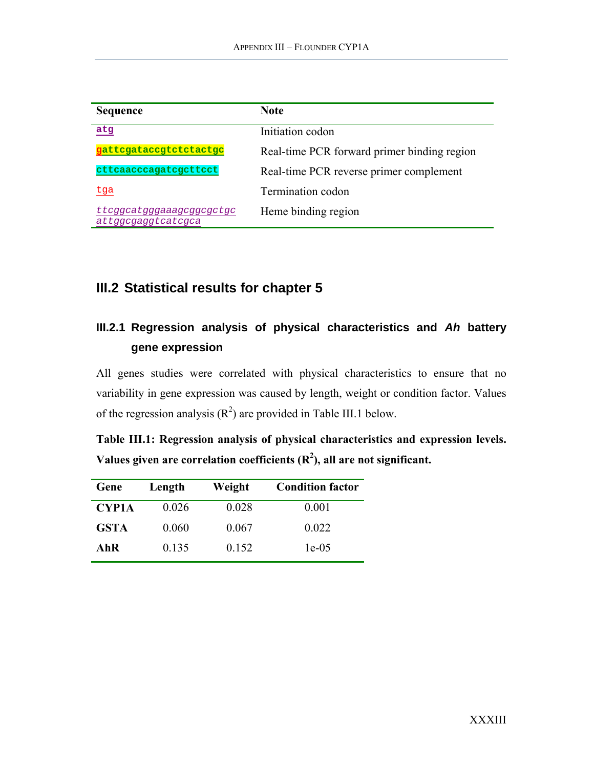<span id="page-34-0"></span>

| <b>Sequence</b>                                | <b>Note</b>                                 |
|------------------------------------------------|---------------------------------------------|
| atg                                            | Initiation codon                            |
| gattcgataccgtctctactgc                         | Real-time PCR forward primer binding region |
| cttcaacccagatcgcttcct                          | Real-time PCR reverse primer complement     |
| <u>tga</u>                                     | Termination codon                           |
| ttcggcatgggaaagcggcgctgc<br>attggcgaggtcatcgca | Heme binding region                         |

# **III.2 Statistical results for chapter 5**

# **III.2.1 Regression analysis of physical characteristics and** *Ah* **battery gene expression**

All genes studies were correlated with physical characteristics to ensure that no variability in gene expression was caused by length, weight or condition factor. Values of the regression analysis  $(R^2)$  are provided in [Table III.1 b](#page-34-1)elow.

<span id="page-34-1"></span>

| Table III.1: Regression analysis of physical characteristics and expression levels. |  |  |
|-------------------------------------------------------------------------------------|--|--|
| Values given are correlation coefficients $(R^2)$ , all are not significant.        |  |  |

| Gene         | Length | Weight | <b>Condition factor</b> |
|--------------|--------|--------|-------------------------|
| <b>CYP1A</b> | 0.026  | 0.028  | 0.001                   |
| <b>GSTA</b>  | 0.060  | 0.067  | 0.022                   |
| AhR          | 0.135  | 0.152  | $1e-05$                 |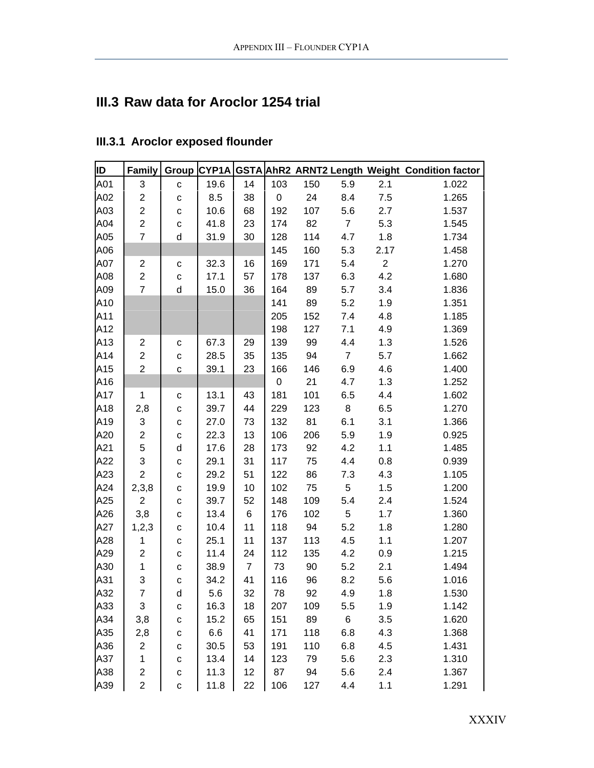# <span id="page-35-0"></span>**III.3 Raw data for Aroclor 1254 trial**

| ID  | Family                  |              |      |                |     |     |                |              | Group CYP1A GSTA AhR2 ARNT2 Length Weight Condition factor |
|-----|-------------------------|--------------|------|----------------|-----|-----|----------------|--------------|------------------------------------------------------------|
| A01 | 3                       | C            | 19.6 | 14             | 103 | 150 | 5.9            | 2.1          | 1.022                                                      |
| A02 | $\overline{c}$          | $\mathbf{C}$ | 8.5  | 38             | 0   | 24  | 8.4            | $7.5\,$      | 1.265                                                      |
| A03 | $\overline{c}$          | $\mathbf c$  | 10.6 | 68             | 192 | 107 | 5.6            | 2.7          | 1.537                                                      |
| A04 | $\overline{2}$          | $\mathbf c$  | 41.8 | 23             | 174 | 82  | $\overline{7}$ | 5.3          | 1.545                                                      |
| A05 | $\overline{7}$          | d            | 31.9 | 30             | 128 | 114 | 4.7            | 1.8          | 1.734                                                      |
| A06 |                         |              |      |                | 145 | 160 | 5.3            | 2.17         | 1.458                                                      |
| A07 | $\overline{\mathbf{c}}$ | С            | 32.3 | 16             | 169 | 171 | 5.4            | $\mathbf{2}$ | 1.270                                                      |
| A08 | $\overline{2}$          | $\mathbf C$  | 17.1 | 57             | 178 | 137 | 6.3            | 4.2          | 1.680                                                      |
| A09 | $\overline{7}$          | d            | 15.0 | 36             | 164 | 89  | 5.7            | 3.4          | 1.836                                                      |
| A10 |                         |              |      |                | 141 | 89  | 5.2            | 1.9          | 1.351                                                      |
| A11 |                         |              |      |                | 205 | 152 | 7.4            | 4.8          | 1.185                                                      |
| A12 |                         |              |      |                | 198 | 127 | 7.1            | 4.9          | 1.369                                                      |
| A13 | $\overline{2}$          | $\mathbf C$  | 67.3 | 29             | 139 | 99  | 4.4            | 1.3          | 1.526                                                      |
| A14 | $\overline{c}$          | $\mathbf{C}$ | 28.5 | 35             | 135 | 94  | $\overline{7}$ | 5.7          | 1.662                                                      |
| A15 | $\overline{2}$          | C            | 39.1 | 23             | 166 | 146 | 6.9            | 4.6          | 1.400                                                      |
| A16 |                         |              |      |                | 0   | 21  | 4.7            | 1.3          | 1.252                                                      |
| A17 | $\mathbf{1}$            | $\mathbf{C}$ | 13.1 | 43             | 181 | 101 | 6.5            | 4.4          | 1.602                                                      |
| A18 | 2,8                     | C            | 39.7 | 44             | 229 | 123 | 8              | 6.5          | 1.270                                                      |
| A19 | 3                       | $\mathbf C$  | 27.0 | 73             | 132 | 81  | 6.1            | 3.1          | 1.366                                                      |
| A20 | $\overline{2}$          | C            | 22.3 | 13             | 106 | 206 | 5.9            | 1.9          | 0.925                                                      |
| A21 | 5                       | d            | 17.6 | 28             | 173 | 92  | 4.2            | 1.1          | 1.485                                                      |
| A22 | 3                       | $\mathbf C$  | 29.1 | 31             | 117 | 75  | 4.4            | 0.8          | 0.939                                                      |
| A23 | $\overline{2}$          | $\mathbf C$  | 29.2 | 51             | 122 | 86  | 7.3            | 4.3          | 1.105                                                      |
| A24 | 2,3,8                   | C            | 19.9 | 10             | 102 | 75  | 5              | 1.5          | 1.200                                                      |
| A25 | $\overline{2}$          | $\mathbf C$  | 39.7 | 52             | 148 | 109 | 5.4            | 2.4          | 1.524                                                      |
| A26 | 3,8                     | C            | 13.4 | 6              | 176 | 102 | 5              | 1.7          | 1.360                                                      |
| A27 | 1,2,3                   | C            | 10.4 | 11             | 118 | 94  | 5.2            | 1.8          | 1.280                                                      |
| A28 | $\mathbf{1}$            | $\mathbf{C}$ | 25.1 | 11             | 137 | 113 | 4.5            | 1.1          | 1.207                                                      |
| A29 | $\overline{c}$          | $\mathbf c$  | 11.4 | 24             | 112 | 135 | 4.2            | 0.9          | 1.215                                                      |
| A30 | $\mathbf{1}$            | $\mathbf C$  | 38.9 | $\overline{7}$ | 73  | 90  | 5.2            | 2.1          | 1.494                                                      |
| A31 | 3                       | $\mathbf{C}$ | 34.2 | 41             | 116 | 96  | 8.2            | 5.6          | 1.016                                                      |
| A32 | $\overline{7}$          | $\sf d$      | 5.6  | 32             | 78  | 92  | 4.9            | 1.8          | 1.530                                                      |
| A33 | 3                       | C            | 16.3 | 18             | 207 | 109 | 5.5            | 1.9          | 1.142                                                      |
| A34 | 3,8                     | С            | 15.2 | 65             | 151 | 89  | 6              | 3.5          | 1.620                                                      |
| A35 | 2,8                     | C            | 6.6  | 41             | 171 | 118 | 6.8            | 4.3          | 1.368                                                      |
| A36 | $\overline{c}$          | С            | 30.5 | 53             | 191 | 110 | 6.8            | 4.5          | 1.431                                                      |
| A37 | 1                       | $\mathbf C$  | 13.4 | 14             | 123 | 79  | 5.6            | 2.3          | 1.310                                                      |
| A38 | $\overline{\mathbf{c}}$ | C            | 11.3 | 12             | 87  | 94  | 5.6            | 2.4          | 1.367                                                      |
| A39 | $\overline{2}$          | $\mathbf c$  | 11.8 | 22             | 106 | 127 | 4.4            | 1.1          | 1.291                                                      |

# **III.3.1 Aroclor exposed flounder**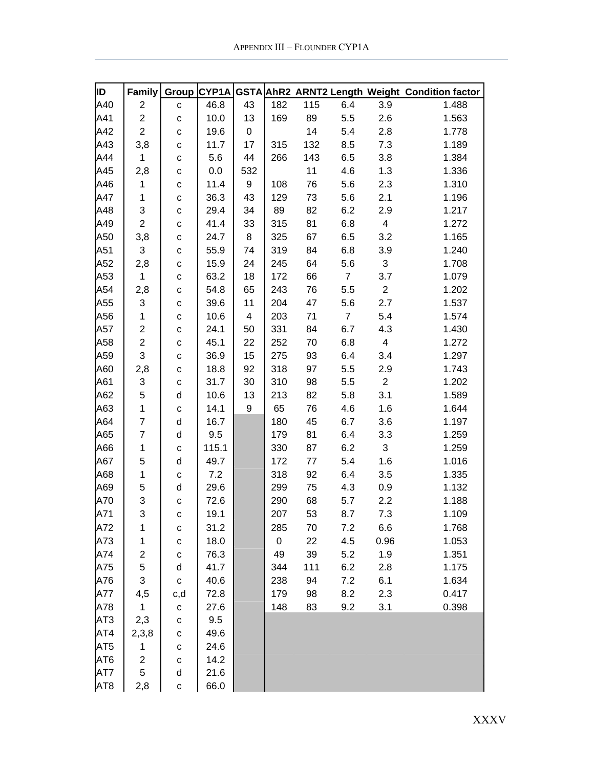| ID              | Family                    | Group        | CYP1A |                          |     |     |                |                | GSTA AhR2 ARNT2 Length Weight Condition factor |
|-----------------|---------------------------|--------------|-------|--------------------------|-----|-----|----------------|----------------|------------------------------------------------|
| A40             | $\overline{c}$            | $\mathbf{C}$ | 46.8  | 43                       | 182 | 115 | 6.4            | 3.9            | 1.488                                          |
| A41             | $\overline{2}$            | C            | 10.0  | 13                       | 169 | 89  | 5.5            | 2.6            | 1.563                                          |
| A42             | $\overline{2}$            | С            | 19.6  | $\pmb{0}$                |     | 14  | 5.4            | 2.8            | 1.778                                          |
| A43             | 3,8                       | С            | 11.7  | 17                       | 315 | 132 | 8.5            | 7.3            | 1.189                                          |
| A44             | $\mathbf{1}$              | $\mathbf C$  | 5.6   | 44                       | 266 | 143 | 6.5            | 3.8            | 1.384                                          |
| A45             | 2,8                       | $\mathbf C$  | 0.0   | 532                      |     | 11  | 4.6            | 1.3            | 1.336                                          |
| A46             | $\mathbf{1}$              | $\mathbf C$  | 11.4  | $\boldsymbol{9}$         | 108 | 76  | 5.6            | 2.3            | 1.310                                          |
| A47             | $\mathbf{1}$              | $\mathbf C$  | 36.3  | 43                       | 129 | 73  | 5.6            | 2.1            | 1.196                                          |
| A48             | 3                         | C            | 29.4  | 34                       | 89  | 82  | 6.2            | 2.9            | 1.217                                          |
| A49             | $\overline{2}$            |              | 41.4  | 33                       | 315 | 81  | 6.8            | $\overline{4}$ | 1.272                                          |
| A50             | 3,8                       | C            | 24.7  | 8                        | 325 | 67  |                | 3.2            | 1.165                                          |
|                 | $\sqrt{3}$                | С            |       |                          |     |     | 6.5            |                |                                                |
| A51             |                           | C            | 55.9  | 74                       | 319 | 84  | 6.8            | 3.9            | 1.240                                          |
| A52             | 2,8                       | С            | 15.9  | 24                       | 245 | 64  | 5.6            | $\mathfrak{S}$ | 1.708                                          |
| A53             | $\mathbf{1}$              | С            | 63.2  | 18                       | 172 | 66  | $\overline{7}$ | 3.7            | 1.079                                          |
| A54             | 2,8                       | С            | 54.8  | 65                       | 243 | 76  | 5.5            | $\mathbf{2}$   | 1.202                                          |
| A55             | 3                         | С            | 39.6  | 11                       | 204 | 47  | 5.6            | 2.7            | 1.537                                          |
| A56             | $\mathbf{1}$              | $\mathbf C$  | 10.6  | $\overline{\mathcal{A}}$ | 203 | 71  | $\overline{7}$ | 5.4            | 1.574                                          |
| A57             | $\overline{c}$            | С            | 24.1  | 50                       | 331 | 84  | 6.7            | 4.3            | 1.430                                          |
| A58             | $\overline{2}$            | С            | 45.1  | 22                       | 252 | 70  | 6.8            | 4              | 1.272                                          |
| A59             | 3                         | $\mathbf C$  | 36.9  | 15                       | 275 | 93  | 6.4            | 3.4            | 1.297                                          |
| A60             | 2,8                       | С            | 18.8  | 92                       | 318 | 97  | 5.5            | 2.9            | 1.743                                          |
| A61             | $\ensuremath{\mathsf{3}}$ | $\mathbf C$  | 31.7  | 30                       | 310 | 98  | 5.5            | $\overline{2}$ | 1.202                                          |
| A62             | 5                         | d            | 10.6  | 13                       | 213 | 82  | 5.8            | 3.1            | 1.589                                          |
| A63             | $\mathbf{1}$              | $\mathbf C$  | 14.1  | 9                        | 65  | 76  | 4.6            | 1.6            | 1.644                                          |
| A64             | $\overline{7}$            | d            | 16.7  |                          | 180 | 45  | 6.7            | 3.6            | 1.197                                          |
| A65             | $\overline{7}$            | d            | 9.5   |                          | 179 | 81  | 6.4            | 3.3            | 1.259                                          |
| A66             | 1                         | C            | 115.1 |                          | 330 | 87  | 6.2            | 3              | 1.259                                          |
| A67             | 5                         | d            | 49.7  |                          | 172 | 77  | 5.4            | 1.6            | 1.016                                          |
| A68             | $\mathbf 1$               | С            | 7.2   |                          | 318 | 92  | 6.4            | 3.5            | 1.335                                          |
| A69             | 5                         | d            | 29.6  |                          | 299 | 75  | 4.3            | 0.9            | 1.132                                          |
| A70             | 3                         | C            | 72.6  |                          | 290 | 68  | 5.7            | 2.2            | 1.188                                          |
| A71             | 3                         | C            | 19.1  |                          | 207 | 53  | 8.7            | 7.3            | 1.109                                          |
| A72             | 1                         | С            | 31.2  |                          | 285 | 70  | 7.2            | 6.6            | 1.768                                          |
| A73             | 1                         | С            | 18.0  |                          | 0   | 22  | 4.5            | 0.96           | 1.053                                          |
| A74             | $\boldsymbol{2}$          | С            | 76.3  |                          | 49  | 39  | 5.2            | 1.9            | 1.351                                          |
| A75             | 5                         | d            | 41.7  |                          | 344 | 111 | 6.2            | 2.8            | 1.175                                          |
| A76             | 3                         | $\mathbf{C}$ | 40.6  |                          | 238 | 94  | 7.2            | 6.1            | 1.634                                          |
| A77             | 4,5                       | c,d          | 72.8  |                          | 179 | 98  | 8.2            | 2.3            | 0.417                                          |
| A78             | $\mathbf{1}$              | $\mathbf{C}$ | 27.6  |                          | 148 | 83  | 9.2            | 3.1            | 0.398                                          |
| AT <sub>3</sub> | 2,3                       | $\mathbf C$  | 9.5   |                          |     |     |                |                |                                                |
| AT4             | 2,3,8                     | С            | 49.6  |                          |     |     |                |                |                                                |
| AT <sub>5</sub> | $\mathbf{1}$              | $\mathbf C$  | 24.6  |                          |     |     |                |                |                                                |
| AT <sub>6</sub> | $\overline{c}$            | $\mathbf{C}$ | 14.2  |                          |     |     |                |                |                                                |
| AT7             | 5                         | d            | 21.6  |                          |     |     |                |                |                                                |
| AT <sub>8</sub> | 2,8                       | $\mathbf C$  | 66.0  |                          |     |     |                |                |                                                |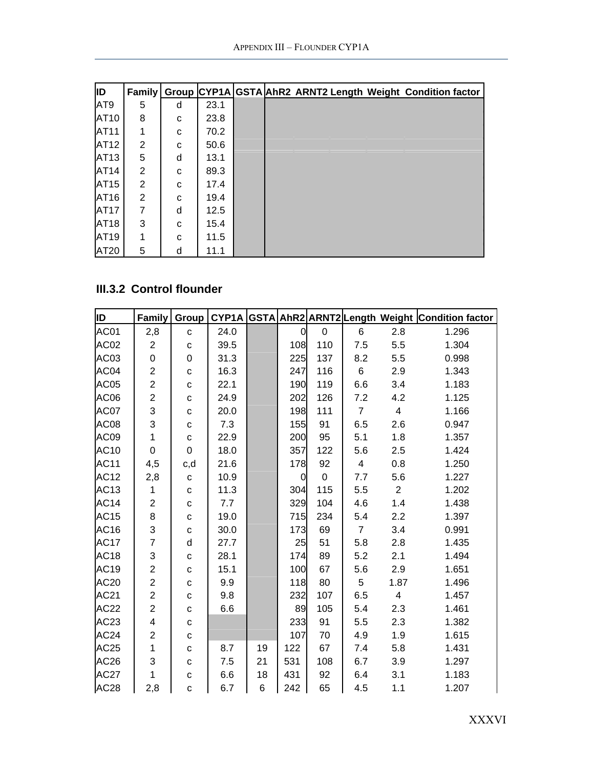<span id="page-37-0"></span>

| ID   |   |             |      |  |  | Family   Group CYP1A   GSTA AhR2 ARNT2 Length Weight Condition factor |
|------|---|-------------|------|--|--|-----------------------------------------------------------------------|
| AT9  | 5 | d           | 23.1 |  |  |                                                                       |
| AT10 | 8 | C           | 23.8 |  |  |                                                                       |
| AT11 |   | C           | 70.2 |  |  |                                                                       |
| AT12 | 2 | C           | 50.6 |  |  |                                                                       |
| AT13 | 5 | d           | 13.1 |  |  |                                                                       |
| AT14 | 2 | C           | 89.3 |  |  |                                                                       |
| AT15 | 2 | C           | 17.4 |  |  |                                                                       |
| AT16 | 2 | C           | 19.4 |  |  |                                                                       |
| AT17 | 7 | d           | 12.5 |  |  |                                                                       |
| AT18 | 3 | C           | 15.4 |  |  |                                                                       |
| AT19 | 1 | $\mathbf C$ | 11.5 |  |  |                                                                       |
| AT20 | 5 | d           | 11.1 |  |  |                                                                       |

# **III.3.2 Control flounder**

| ID               | Family                  | Group        |      |    |                |                |                |                | CYP1A GSTA AhR2 ARNT2 Length Weight Condition factor |
|------------------|-------------------------|--------------|------|----|----------------|----------------|----------------|----------------|------------------------------------------------------|
| AC01             | 2,8                     | $\mathbf C$  | 24.0 |    | 0              | $\overline{0}$ | 6              | 2.8            | 1.296                                                |
| AC <sub>02</sub> | $\overline{2}$          | $\mathbf{C}$ | 39.5 |    | 108            | 110            | 7.5            | 5.5            | 1.304                                                |
| AC03             | 0                       | 0            | 31.3 |    | 225            | 137            | 8.2            | 5.5            | 0.998                                                |
| AC04             | $\overline{2}$          | $\mathbf C$  | 16.3 |    | 247            | 116            | 6              | 2.9            | 1.343                                                |
| AC05             | $\overline{c}$          | $\mathbf{C}$ | 22.1 |    | 190            | 119            | 6.6            | 3.4            | 1.183                                                |
| AC06             | $\overline{2}$          | $\mathbf C$  | 24.9 |    | 202            | 126            | 7.2            | 4.2            | 1.125                                                |
| AC07             | 3                       | $\mathbf{C}$ | 20.0 |    | 198            | 111            | $\overline{7}$ | 4              | 1.166                                                |
| AC08             | 3                       | $\mathbf{C}$ | 7.3  |    | 155            | 91             | 6.5            | 2.6            | 0.947                                                |
| AC09             | $\mathbf 1$             | ${\bf c}$    | 22.9 |    | 200            | 95             | 5.1            | 1.8            | 1.357                                                |
| AC10             | 0                       | $\mathbf 0$  | 18.0 |    | 357            | 122            | 5.6            | 2.5            | 1.424                                                |
| AC11             | 4,5                     | c,d          | 21.6 |    | 178            | 92             | $\overline{4}$ | 0.8            | 1.250                                                |
| <b>AC12</b>      | 2,8                     | $\mathbf C$  | 10.9 |    | $\overline{0}$ | $\mathbf 0$    | 7.7            | 5.6            | 1.227                                                |
| AC13             | 1                       | ${\bf c}$    | 11.3 |    | 304            | 115            | 5.5            | $\overline{2}$ | 1.202                                                |
| AC14             | $\overline{2}$          | $\mathtt{C}$ | 7.7  |    | 329            | 104            | 4.6            | 1.4            | 1.438                                                |
| AC15             | 8                       | $\mathbf{C}$ | 19.0 |    | 715            | 234            | 5.4            | 2.2            | 1.397                                                |
| AC16             | 3                       | $\mathtt{C}$ | 30.0 |    | 173            | 69             | $\overline{7}$ | 3.4            | 0.991                                                |
| <b>AC17</b>      | $\overline{7}$          | d            | 27.7 |    | 25             | 51             | 5.8            | 2.8            | 1.435                                                |
| AC18             | 3                       | $\mathbf{C}$ | 28.1 |    | 174            | 89             | 5.2            | 2.1            | 1.494                                                |
| AC19             | $\overline{2}$          | $\mathbf C$  | 15.1 |    | 100            | 67             | 5.6            | 2.9            | 1.651                                                |
| AC20             | $\overline{c}$          | $\mathbf{C}$ | 9.9  |    | 118            | 80             | 5              | 1.87           | 1.496                                                |
| AC21             | $\overline{c}$          | $\mathbf C$  | 9.8  |    | 232            | 107            | 6.5            | 4              | 1.457                                                |
| AC22             | $\overline{2}$          | $\mathbf C$  | 6.6  |    | 89             | 105            | 5.4            | 2.3            | 1.461                                                |
| AC23             | $\overline{\mathbf{4}}$ | $\mathbf{C}$ |      |    | 233            | 91             | 5.5            | 2.3            | 1.382                                                |
| AC24             | $\overline{c}$          | $\mathbf C$  |      |    | 107            | 70             | 4.9            | 1.9            | 1.615                                                |
| AC25             | $\mathbf{1}$            | $\mathbf{C}$ | 8.7  | 19 | 122            | 67             | 7.4            | 5.8            | 1.431                                                |
| AC26             | 3                       | $\mathbf C$  | 7.5  | 21 | 531            | 108            | 6.7            | 3.9            | 1.297                                                |
| <b>AC27</b>      | $\mathbf{1}$            | $\mathbf C$  | 6.6  | 18 | 431            | 92             | 6.4            | 3.1            | 1.183                                                |
| AC <sub>28</sub> | 2,8                     | C            | 6.7  | 6  | 242            | 65             | 4.5            | 1.1            | 1.207                                                |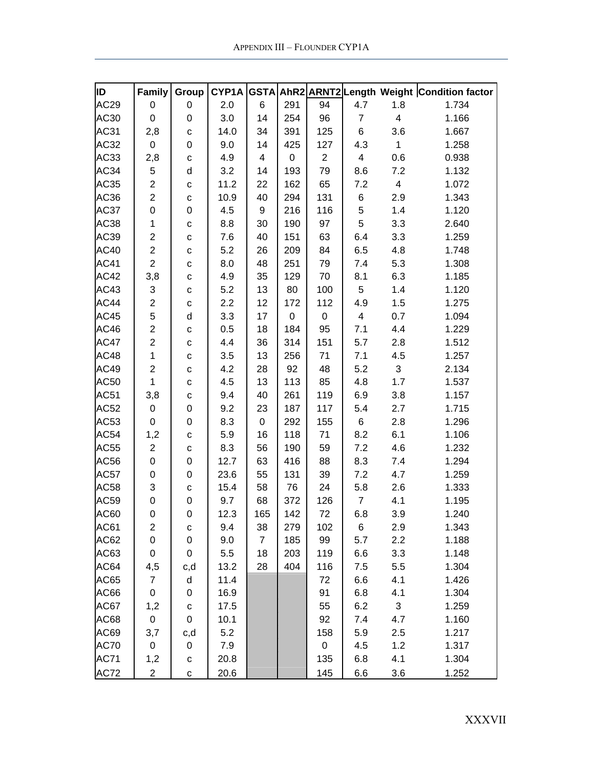| ID               | Family           | Group        | CYP1A |                         |             |                |                |                         | GSTA AhR2 ARNT2 Length Weight Condition factor |
|------------------|------------------|--------------|-------|-------------------------|-------------|----------------|----------------|-------------------------|------------------------------------------------|
| AC <sub>29</sub> | 0                | 0            | 2.0   | 6                       | 291         | 94             | 4.7            | 1.8                     | 1.734                                          |
| AC30             | $\mathbf 0$      | 0            | 3.0   | 14                      | 254         | 96             | $\overline{7}$ | $\overline{\mathbf{4}}$ | 1.166                                          |
| AC31             | 2,8              | $\mathbf C$  | 14.0  | 34                      | 391         | 125            | 6              | 3.6                     | 1.667                                          |
| AC32             | $\mathbf 0$      | 0            | 9.0   | 14                      | 425         | 127            | 4.3            | $\mathbf{1}$            | 1.258                                          |
| AC33             | 2,8              | $\mathbf{C}$ | 4.9   | $\overline{\mathbf{4}}$ | $\mathbf 0$ | $\overline{2}$ | $\overline{4}$ | 0.6                     | 0.938                                          |
| AC34             | 5                | d            | 3.2   | 14                      | 193         | 79             | 8.6            | 7.2                     | 1.132                                          |
| AC35             | $\overline{2}$   | $\mathbf c$  | 11.2  | 22                      | 162         | 65             | 7.2            | $\overline{4}$          | 1.072                                          |
| AC36             | $\overline{2}$   | $\mathbf c$  | 10.9  | 40                      | 294         | 131            | 6              | 2.9                     | 1.343                                          |
| AC37             | 0                | 0            | 4.5   | 9                       | 216         | 116            | $\mathbf 5$    | 1.4                     | 1.120                                          |
| AC38             | 1                | $\mathbf{C}$ | 8.8   | 30                      | 190         | 97             | 5              | 3.3                     | 2.640                                          |
| AC39             | $\overline{c}$   | $\mathbf c$  | 7.6   | 40                      | 151         | 63             | 6.4            | 3.3                     | 1.259                                          |
| AC40             | $\overline{2}$   | $\mathbf{C}$ | 5.2   | 26                      | 209         | 84             | 6.5            | 4.8                     | 1.748                                          |
| <b>AC41</b>      | $\overline{2}$   | $\mathbf{C}$ | 8.0   | 48                      | 251         | 79             | 7.4            | 5.3                     | 1.308                                          |
| AC42             | 3,8              | $\mathbf{C}$ | 4.9   | 35                      | 129         | 70             | 8.1            | 6.3                     | 1.185                                          |
| AC43             | 3                | $\mathbf c$  | 5.2   | 13                      | 80          | 100            | 5              | 1.4                     | 1.120                                          |
| AC44             | $\overline{2}$   | $\mathbf c$  | 2.2   | 12                      | 172         | 112            | 4.9            | 1.5                     | 1.275                                          |
| AC45             | 5                | d            | 3.3   | 17                      | $\pmb{0}$   | 0              | $\overline{4}$ | 0.7                     | 1.094                                          |
| AC46             | $\overline{2}$   | $\mathbf C$  | 0.5   | 18                      | 184         | 95             | 7.1            | 4.4                     | 1.229                                          |
| AC47             | $\overline{2}$   | C            | 4.4   | 36                      | 314         | 151            | 5.7            | 2.8                     | 1.512                                          |
| AC48             | $\mathbf{1}$     | $\mathbf{C}$ | 3.5   | 13                      | 256         | 71             | 7.1            | 4.5                     | 1.257                                          |
| AC49             | $\overline{2}$   | $\mathbf{C}$ | 4.2   | 28                      | 92          | 48             | 5.2            | 3                       | 2.134                                          |
| AC50             | $\mathbf{1}$     | $\mathbf c$  | 4.5   | 13                      | 113         | 85             | 4.8            | 1.7                     | 1.537                                          |
| AC51             | 3,8              | $\mathbf c$  | 9.4   | 40                      | 261         | 119            | 6.9            | 3.8                     | 1.157                                          |
| AC52             | 0                | 0            | 9.2   | 23                      | 187         | 117            | 5.4            | 2.7                     | 1.715                                          |
| AC53             | $\mathbf 0$      | 0            | 8.3   | $\pmb{0}$               | 292         | 155            | 6              | 2.8                     | 1.296                                          |
| AC54             | 1,2              | $\mathbf c$  | 5.9   | 16                      | 118         | 71             | 8.2            | 6.1                     | 1.106                                          |
| AC55             | $\overline{c}$   | $\mathbf c$  | 8.3   | 56                      | 190         | 59             | 7.2            | 4.6                     | 1.232                                          |
| AC56             | 0                | $\mathbf 0$  | 12.7  | 63                      | 416         | 88             | 8.3            | 7.4                     | 1.294                                          |
| AC57             | 0                | 0            | 23.6  | 55                      | 131         | 39             | 7.2            | 4.7                     | 1.259                                          |
| AC58             | 3                | $\mathbf{C}$ | 15.4  | 58                      | 76          | 24             | 5.8            | 2.6                     | 1.333                                          |
| AC59             | 0                | $\mathbf 0$  | 9.7   | 68                      | 372         | 126            | $\overline{7}$ | 4.1                     | 1.195                                          |
| AC60             | 0                | 0            | 12.3  | 165                     | 142         | $72\,$         | 6.8            | 3.9                     | 1.240                                          |
| AC61             | $\overline{2}$   | C            | 9.4   | 38                      | 279         | 102            | 6              | 2.9                     | 1.343                                          |
| AC62             | $\boldsymbol{0}$ | 0            | 9.0   | $\overline{7}$          | 185         | 99             | 5.7            | 2.2                     | 1.188                                          |
| AC63             | 0                | 0            | 5.5   | 18                      | 203         | 119            | 6.6            | 3.3                     | 1.148                                          |
| AC64             | 4,5              | c,d          | 13.2  | 28                      | 404         | 116            | 7.5            | 5.5                     | 1.304                                          |
| AC65             | $\overline{7}$   | $\sf d$      | 11.4  |                         |             | 72             | 6.6            | 4.1                     | 1.426                                          |
| AC66             | $\boldsymbol{0}$ | 0            | 16.9  |                         |             | 91             | 6.8            | 4.1                     | 1.304                                          |
| AC67             | 1,2              | $\mathbf{C}$ | 17.5  |                         |             | 55             | 6.2            | $\mathfrak{S}$          | 1.259                                          |
| AC68             | $\boldsymbol{0}$ | 0            | 10.1  |                         |             | 92             | 7.4            | 4.7                     | 1.160                                          |
| AC69             | 3,7              | c,d          | 5.2   |                         |             | 158            | 5.9            | 2.5                     | 1.217                                          |
| <b>AC70</b>      | 0                | $\pmb{0}$    | 7.9   |                         |             | 0              | 4.5            | 1.2                     | 1.317                                          |
| <b>AC71</b>      | 1,2              | $\mathbf C$  | 20.8  |                         |             | 135            | 6.8            | 4.1                     | 1.304                                          |
| AC72             | $\overline{2}$   | C            | 20.6  |                         |             | 145            | 6.6            | 3.6                     | 1.252                                          |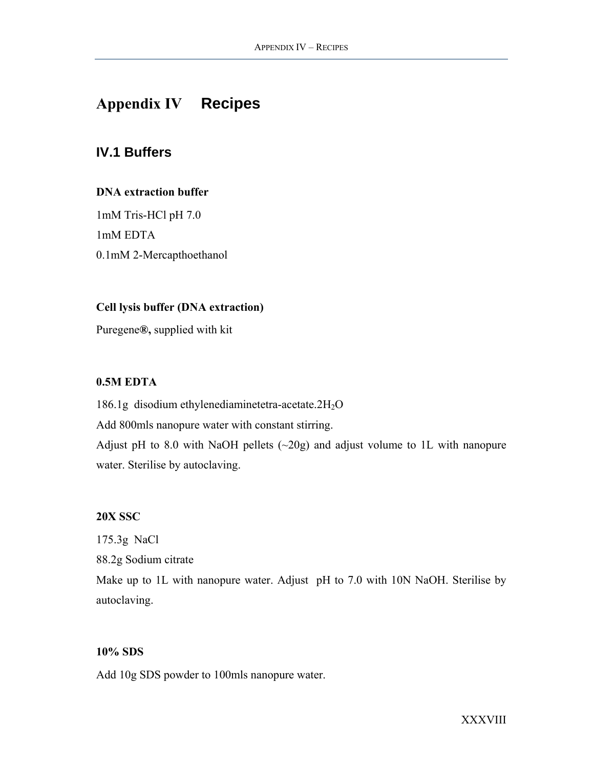# <span id="page-39-0"></span>**Appendix IV Recipes**

# **IV.1 Buffers**

### **DNA extraction buffer**

1mM Tris-HCl pH 7.0 1mM EDTA 0.1mM 2-Mercapthoethanol

### **Cell lysis buffer (DNA extraction)**

Puregene**®,** supplied with kit

### **0.5M EDTA**

186.1g disodium ethylenediaminetetra-acetate.2H2O Add 800mls nanopure water with constant stirring. Adjust pH to 8.0 with NaOH pellets  $(\sim 20g)$  and adjust volume to 1L with nanopure water. Sterilise by autoclaving.

#### **20X SSC**

175.3g NaCl 88.2g Sodium citrate Make up to 1L with nanopure water. Adjust pH to 7.0 with 10N NaOH. Sterilise by autoclaving.

#### **10% SDS**

Add 10g SDS powder to 100mls nanopure water.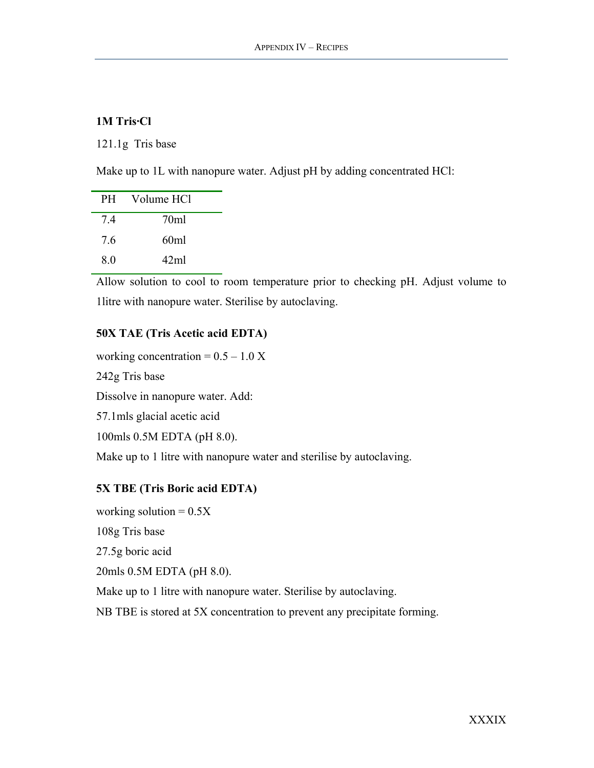### **1M Tris·Cl**

121.1g Tris base

Make up to 1L with nanopure water. Adjust pH by adding concentrated HCl:

| <b>PH</b> | Volume HCl      |
|-----------|-----------------|
| 74        | 70ml            |
| 76        | 60ml            |
| 8.0       | 42 <sub>m</sub> |

Allow solution to cool to room temperature prior to checking pH. Adjust volume to 1litre with nanopure water. Sterilise by autoclaving.

# **50X TAE (Tris Acetic acid EDTA)**

working concentration =  $0.5 - 1.0$  X 242g Tris base Dissolve in nanopure water. Add: 57.1mls glacial acetic acid 100mls 0.5M EDTA (pH 8.0). Make up to 1 litre with nanopure water and sterilise by autoclaving.

### **5X TBE (Tris Boric acid EDTA)**

working solution  $= 0.5X$ 108g Tris base 27.5g boric acid 20mls 0.5M EDTA (pH 8.0). Make up to 1 litre with nanopure water. Sterilise by autoclaving. NB TBE is stored at 5X concentration to prevent any precipitate forming.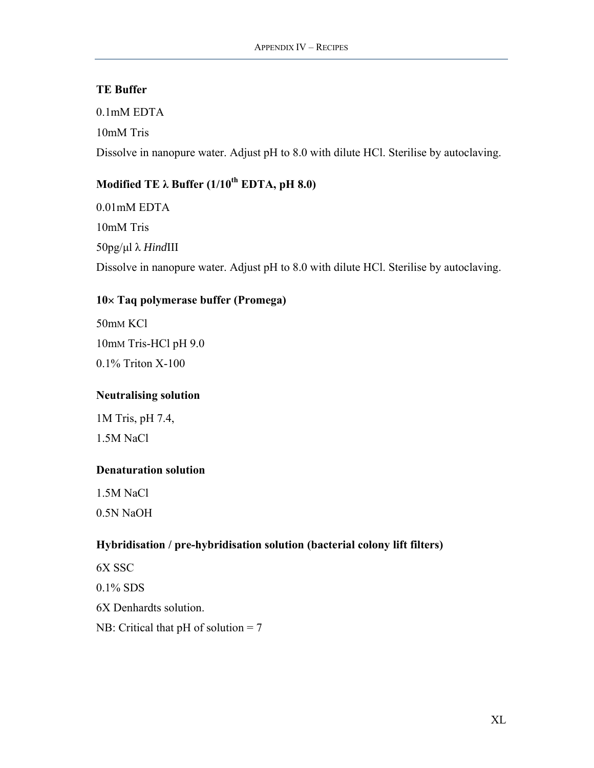### **TE Buffer**

0.1mM EDTA 10mM Tris Dissolve in nanopure water. Adjust pH to 8.0 with dilute HCl. Sterilise by autoclaving.

# **Modified ΤΕ λ Buffer (1/10<sup>th</sup> EDTA, pH 8.0)**

0.01mM EDTA 10mM Tris 50pg/µl λ *Hind*III Dissolve in nanopure water. Adjust pH to 8.0 with dilute HCl. Sterilise by autoclaving.

# **10**× **Taq polymerase buffer (Promega)**

50mM KCl 10mM Tris-HCl pH 9.0 0.1% Triton X-100

### **Neutralising solution**

1M Tris, pH 7.4, 1.5M NaCl

### **Denaturation solution**

1.5M NaCl

0.5N NaOH

# **Hybridisation / pre-hybridisation solution (bacterial colony lift filters)**

6X SSC 0.1% SDS 6X Denhardts solution. NB: Critical that pH of solution = 7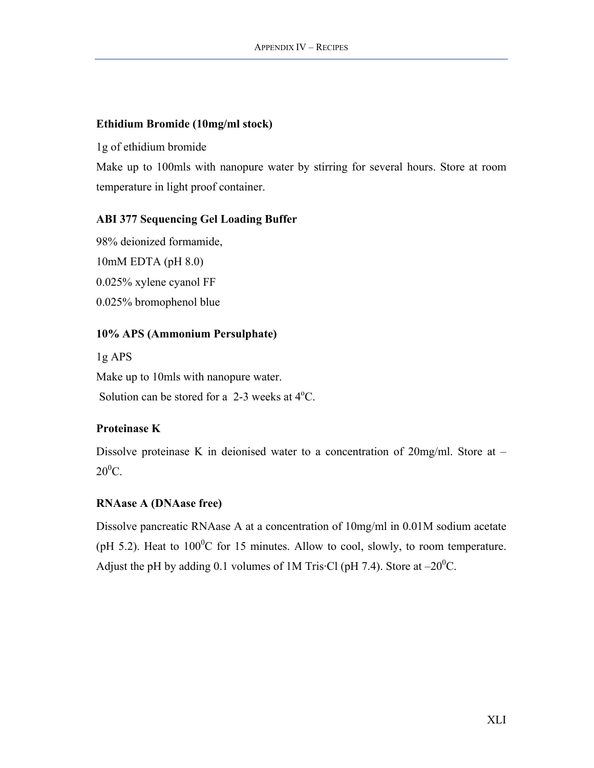### **Ethidium Bromide (10mg/ml stock)**

1g of ethidium bromide

Make up to 100mls with nanopure water by stirring for several hours. Store at room temperature in light proof container.

# **ABI 377 Sequencing Gel Loading Buffer**

98% deionized formamide, 10mM EDTA (pH 8.0) 0.025% xylene cyanol FF 0.025% bromophenol blue

# **10% APS (Ammonium Persulphate)**

1g APS Make up to 10mls with nanopure water. Solution can be stored for a  $2-3$  weeks at  $4^{\circ}$ C.

# **Proteinase K**

Dissolve proteinase K in deionised water to a concentration of 20mg/ml. Store at –  $20^0C$ .

# **RNAase A (DNAase free)**

Dissolve pancreatic RNAase A at a concentration of 10mg/ml in 0.01M sodium acetate (pH 5.2). Heat to  $100^{\circ}$ C for 15 minutes. Allow to cool, slowly, to room temperature. Adjust the pH by adding 0.1 volumes of 1M Tris Cl (pH 7.4). Store at  $-20^{\circ}$ C.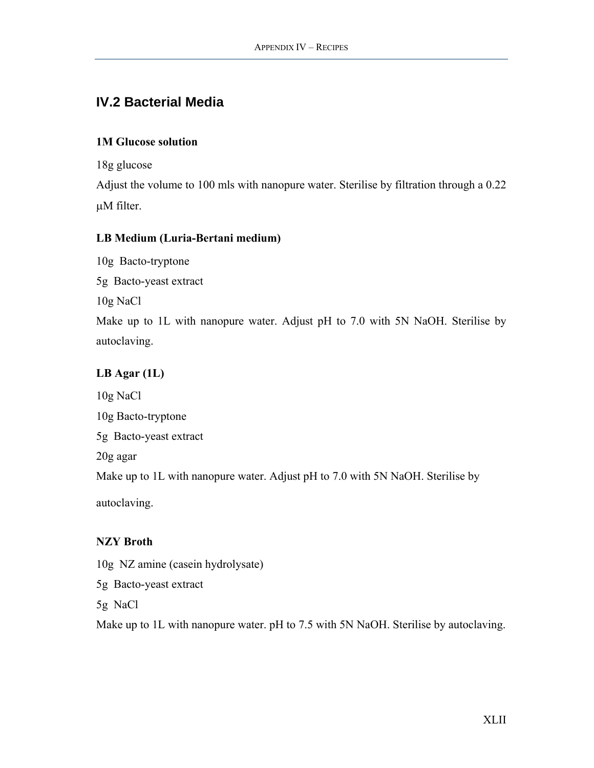# <span id="page-43-0"></span>**IV.2 Bacterial Media**

### **1M Glucose solution**

18g glucose

Adjust the volume to 100 mls with nanopure water. Sterilise by filtration through a 0.22 µM filter.

# **LB Medium (Luria-Bertani medium)**

10g Bacto-tryptone 5g Bacto-yeast extract 10g NaCl Make up to 1L with nanopure water. Adjust pH to 7.0 with 5N NaOH. Sterilise by autoclaving.

# **LB Agar (1L)**

10g NaCl 10g Bacto-tryptone 5g Bacto-yeast extract 20g agar Make up to 1L with nanopure water. Adjust pH to 7.0 with 5N NaOH. Sterilise by autoclaving.

# **NZY Broth**

10g NZ amine (casein hydrolysate)

5g Bacto-yeast extract

5g NaCl

Make up to 1L with nanopure water. pH to 7.5 with 5N NaOH. Sterilise by autoclaving.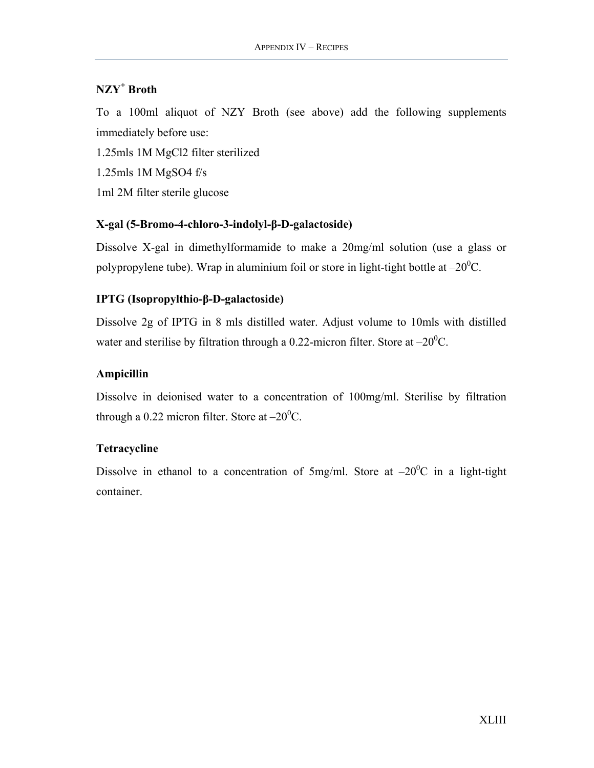# **NZY+ Broth**

To a 100ml aliquot of NZY Broth (see above) add the following supplements immediately before use:

1.25mls 1M MgCl2 filter sterilized 1.25mls 1M MgSO4 f/s 1ml 2M filter sterile glucose

### **X-gal (5-Bromo-4-chloro-3-indolyl-β-D-galactoside)**

Dissolve X-gal in dimethylformamide to make a 20mg/ml solution (use a glass or polypropylene tube). Wrap in aluminium foil or store in light-tight bottle at  $-20^0C$ .

### **IPTG (Isopropylthio-β-D-galactoside)**

Dissolve 2g of IPTG in 8 mls distilled water. Adjust volume to 10mls with distilled water and sterilise by filtration through a 0.22-micron filter. Store at  $-20^0$ C.

### **Ampicillin**

Dissolve in deionised water to a concentration of 100mg/ml. Sterilise by filtration through a 0.22 micron filter. Store at  $-20^0C$ .

### **Tetracycline**

Dissolve in ethanol to a concentration of 5mg/ml. Store at  $-20^{\circ}$ C in a light-tight container.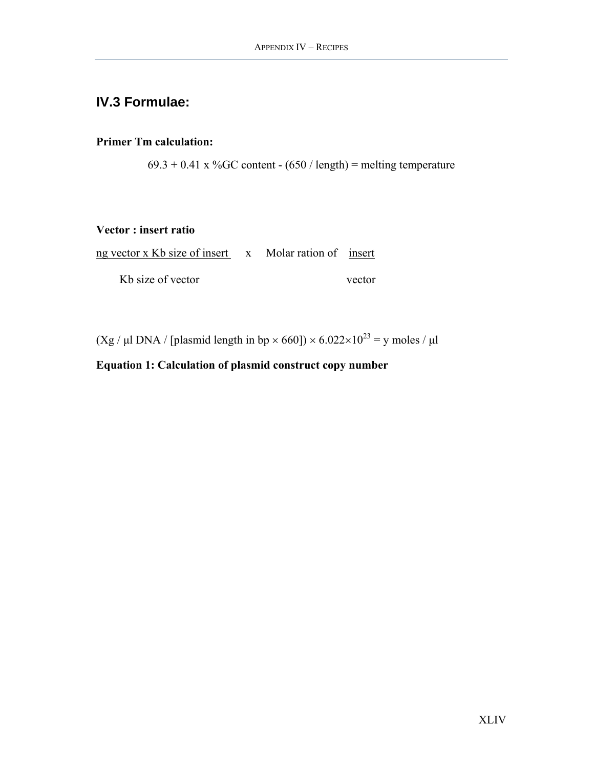# <span id="page-45-0"></span>**IV.3 Formulae:**

# **Primer Tm calculation:**

 $69.3 + 0.41$  x %GC content - (650 / length) = melting temperature

### **Vector : insert ratio**

| ng vector x Kb size of insert x Molar ration of insert |  |        |
|--------------------------------------------------------|--|--------|
| Kb size of vector                                      |  | vector |

(Xg / µl DNA / [plasmid length in bp  $\times$  660])  $\times$  6.022 $\times$ 10<sup>23</sup> = y moles / µl

# **Equation 1: Calculation of plasmid construct copy number**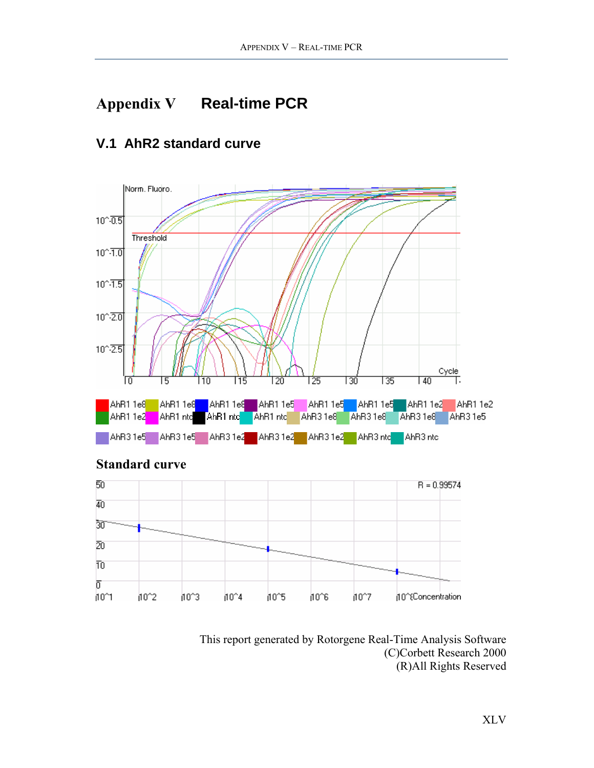# <span id="page-46-0"></span>**Appendix V Real-time PCR**

#### Norm. Fludro.  $10^{\circ} - 0.5$ Threshold  $10^{\circ} \cdot \overline{1.0}$  $10^{\circ} - 1.5$  $10^{\circ} - 2.0$  $10^{\circ} - 2.5$  $\frac{Cycle}{\sqrt{1}}$  $\overline{140}$ 135 ١O 115 120 125 130 I 5 l 10 AhR1 1e5 AhR1 1e5 AhR1 1e2 AhR1 1e2 AhR1 nto AhR1 nto AhR3 1e8 AhR3 1e8 AhR3 1e8 AhR1 1e2 AhR1 ntc AhR31e5 AhR31e5 AhR31e5 AhR31e2 AhR31e2 AhR31e2 AhR31e2 AhR3ntc AhR3ntc

# **V.1 AhR2 standard curve**



# **Standard curve**

This report generated by Rotorgene Real-Time Analysis Software (C)Corbett Research 2000 (R)All Rights Reserved